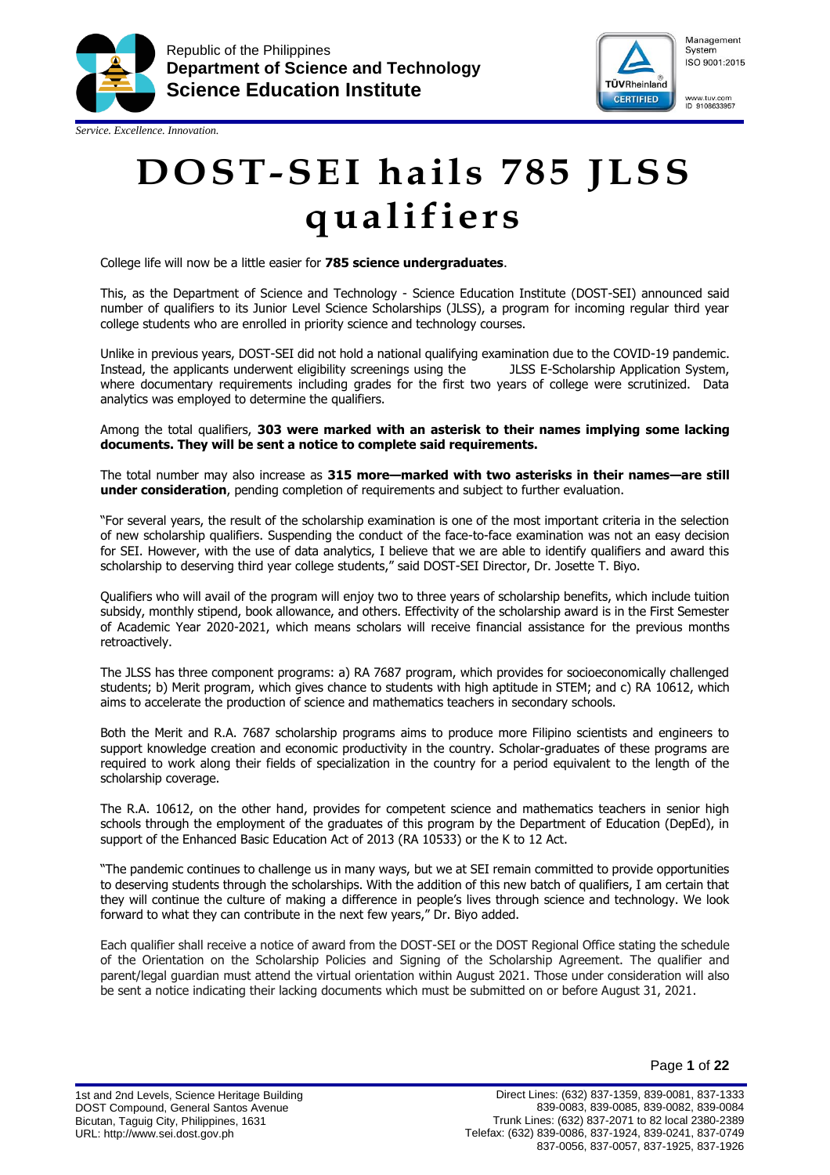

*Service. Excellence. Innovation.*



Management System ISO 9001:2015

www.tuv.com<br>ID 9108633957

**DOST-SEI hails 785 JLSS qualifiers**

College life will now be a little easier for **785 science undergraduates**.

This, as the Department of Science and Technology - Science Education Institute (DOST-SEI) announced said number of qualifiers to its Junior Level Science Scholarships (JLSS), a program for incoming regular third year college students who are enrolled in priority science and technology courses.

Unlike in previous years, DOST-SEI did not hold a national qualifying examination due to the COVID-19 pandemic. Instead, the applicants underwent eligibility screenings using the JLSS E-Scholarship Application System, where documentary requirements including grades for the first two years of college were scrutinized. Data analytics was employed to determine the qualifiers.

Among the total qualifiers, **303 were marked with an asterisk to their names implying some lacking documents. They will be sent a notice to complete said requirements.**

The total number may also increase as **315 more—marked with two asterisks in their names—are still under consideration**, pending completion of requirements and subject to further evaluation.

"For several years, the result of the scholarship examination is one of the most important criteria in the selection of new scholarship qualifiers. Suspending the conduct of the face-to-face examination was not an easy decision for SEI. However, with the use of data analytics, I believe that we are able to identify qualifiers and award this scholarship to deserving third year college students," said DOST-SEI Director, Dr. Josette T. Biyo.

Qualifiers who will avail of the program will enjoy two to three years of scholarship benefits, which include tuition subsidy, monthly stipend, book allowance, and others. Effectivity of the scholarship award is in the First Semester of Academic Year 2020-2021, which means scholars will receive financial assistance for the previous months retroactively.

The JLSS has three component programs: a) RA 7687 program, which provides for socioeconomically challenged students; b) Merit program, which gives chance to students with high aptitude in STEM; and c) RA 10612, which aims to accelerate the production of science and mathematics teachers in secondary schools.

Both the Merit and R.A. 7687 scholarship programs aims to produce more Filipino scientists and engineers to support knowledge creation and economic productivity in the country. Scholar-graduates of these programs are required to work along their fields of specialization in the country for a period equivalent to the length of the scholarship coverage.

The R.A. 10612, on the other hand, provides for competent science and mathematics teachers in senior high schools through the employment of the graduates of this program by the Department of Education (DepEd), in support of the Enhanced Basic Education Act of 2013 (RA 10533) or the K to 12 Act.

"The pandemic continues to challenge us in many ways, but we at SEI remain committed to provide opportunities to deserving students through the scholarships. With the addition of this new batch of qualifiers, I am certain that they will continue the culture of making a difference in people's lives through science and technology. We look forward to what they can contribute in the next few years," Dr. Biyo added.

Each qualifier shall receive a notice of award from the DOST-SEI or the DOST Regional Office stating the schedule of the Orientation on the Scholarship Policies and Signing of the Scholarship Agreement. The qualifier and parent/legal guardian must attend the virtual orientation within August 2021. Those under consideration will also be sent a notice indicating their lacking documents which must be submitted on or before August 31, 2021.

1st and 2nd Levels, Science Heritage Building DOST Compound, General Santos Avenue Bicutan, Taguig City, Philippines, 1631 URL: http://www.sei.dost.gov.ph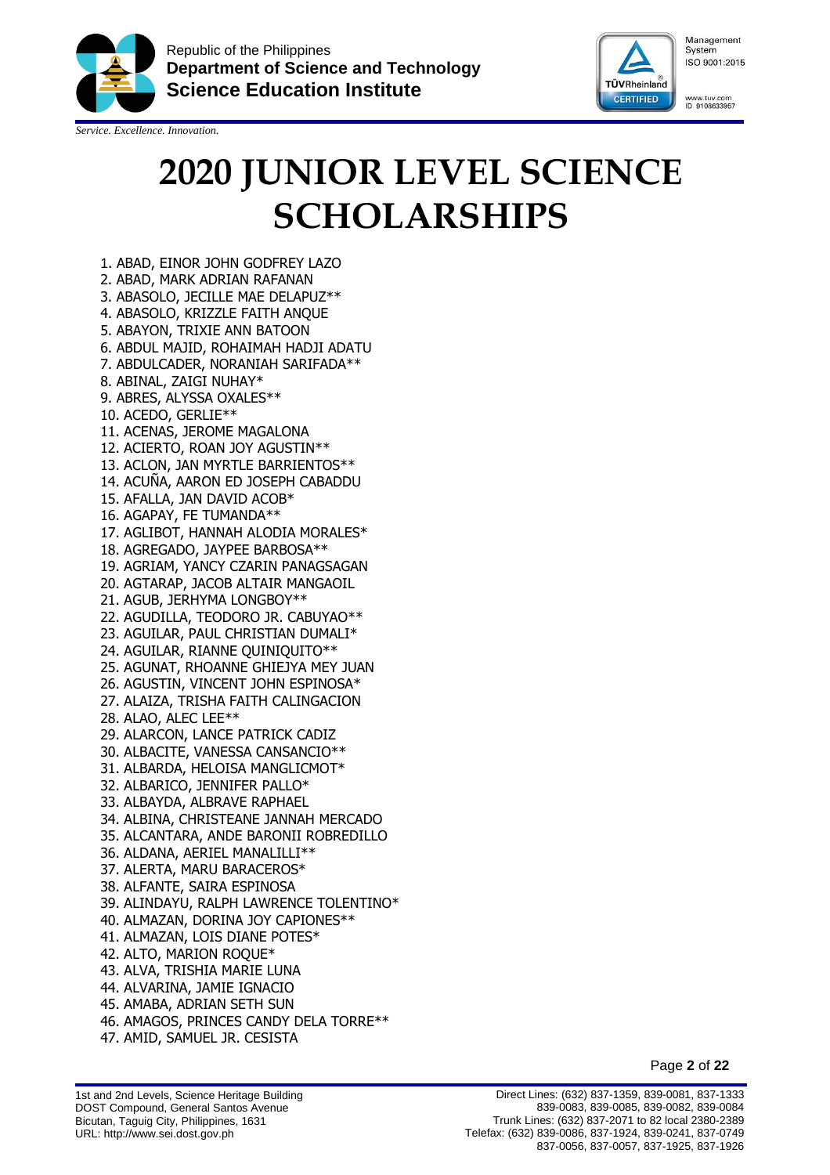

*Service. Excellence. Innovation.*



## **2020 JUNIOR LEVEL SCIENCE SCHOLARSHIPS**

1. ABAD, EINOR JOHN GODFREY LAZO 2. ABAD, MARK ADRIAN RAFANAN 3. ABASOLO, JECILLE MAE DELAPUZ\*\* 4. ABASOLO, KRIZZLE FAITH ANQUE 5. ABAYON, TRIXIE ANN BATOON 6. ABDUL MAJID, ROHAIMAH HADJI ADATU 7. ABDULCADER, NORANIAH SARIFADA\*\* 8. ABINAL, ZAIGI NUHAY\* 9. ABRES, ALYSSA OXALES\*\* 10. ACEDO, GERLIE\*\* 11. ACENAS, JEROME MAGALONA 12. ACIERTO, ROAN JOY AGUSTIN\*\* 13. ACLON, JAN MYRTLE BARRIENTOS\*\* 14. ACUÑA, AARON ED JOSEPH CABADDU 15. AFALLA, JAN DAVID ACOB\* 16. AGAPAY, FE TUMANDA\*\* 17. AGLIBOT, HANNAH ALODIA MORALES\* 18. AGREGADO, JAYPEE BARBOSA\*\* 19. AGRIAM, YANCY CZARIN PANAGSAGAN 20. AGTARAP, JACOB ALTAIR MANGAOIL 21. AGUB, JERHYMA LONGBOY\*\* 22. AGUDILLA, TEODORO JR. CABUYAO\*\* 23. AGUILAR, PAUL CHRISTIAN DUMALI\* 24. AGUILAR, RIANNE QUINIQUITO\*\* 25. AGUNAT, RHOANNE GHIEJYA MEY JUAN 26. AGUSTIN, VINCENT JOHN ESPINOSA\* 27. ALAIZA, TRISHA FAITH CALINGACION 28. ALAO, ALEC LEE\*\* 29. ALARCON, LANCE PATRICK CADIZ 30. ALBACITE, VANESSA CANSANCIO\*\* 31. ALBARDA, HELOISA MANGLICMOT\* 32. ALBARICO, JENNIFER PALLO\* 33. ALBAYDA, ALBRAVE RAPHAEL 34. ALBINA, CHRISTEANE JANNAH MERCADO 35. ALCANTARA, ANDE BARONII ROBREDILLO 36. ALDANA, AERIEL MANALILLI\*\* 37. ALERTA, MARU BARACEROS\* 38. ALFANTE, SAIRA ESPINOSA 39. ALINDAYU, RALPH LAWRENCE TOLENTINO\* 40. ALMAZAN, DORINA JOY CAPIONES\*\* 41. ALMAZAN, LOIS DIANE POTES\* 42. ALTO, MARION ROQUE\* 43. ALVA, TRISHIA MARIE LUNA 44. ALVARINA, JAMIE IGNACIO 45. AMABA, ADRIAN SETH SUN 46. AMAGOS, PRINCES CANDY DELA TORRE\*\* 47. AMID, SAMUEL JR. CESISTA

Page **2** of **22**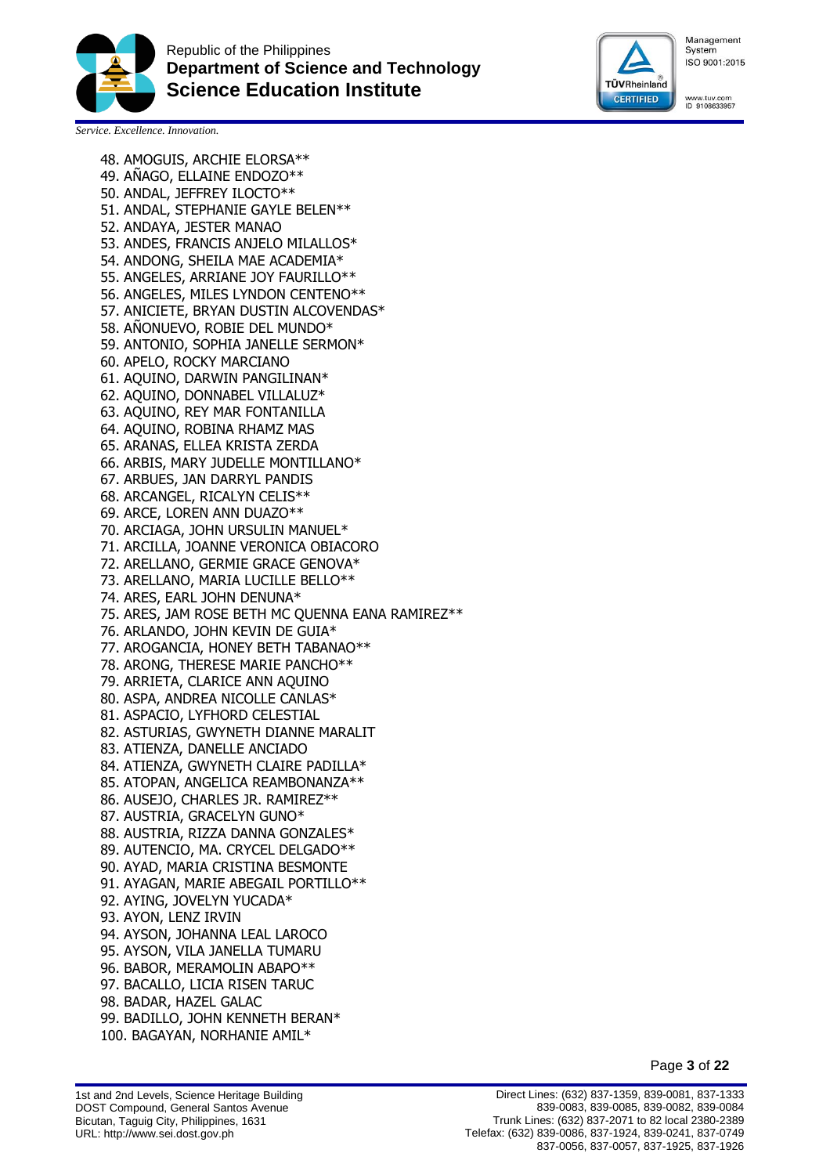



www.tuv.com<br>ID 9108633957

*Service. Excellence. Innovation.*

48. AMOGUIS, ARCHIE ELORSA\*\* 49. AÑAGO, ELLAINE ENDOZO\*\* 50. ANDAL, JEFFREY ILOCTO\*\* 51. ANDAL, STEPHANIE GAYLE BELEN\*\* 52. ANDAYA, JESTER MANAO 53. ANDES, FRANCIS ANJELO MILALLOS\* 54. ANDONG, SHEILA MAE ACADEMIA\* 55. ANGELES, ARRIANE JOY FAURILLO\*\* 56. ANGELES, MILES LYNDON CENTENO\*\* 57. ANICIETE, BRYAN DUSTIN ALCOVENDAS\* 58. AÑONUEVO, ROBIE DEL MUNDO\* 59. ANTONIO, SOPHIA JANELLE SERMON\* 60. APELO, ROCKY MARCIANO 61. AQUINO, DARWIN PANGILINAN\* 62. AQUINO, DONNABEL VILLALUZ\* 63. AQUINO, REY MAR FONTANILLA 64. AQUINO, ROBINA RHAMZ MAS 65. ARANAS, ELLEA KRISTA ZERDA 66. ARBIS, MARY JUDELLE MONTILLANO\* 67. ARBUES, JAN DARRYL PANDIS 68. ARCANGEL, RICALYN CELIS\*\* 69. ARCE, LOREN ANN DUAZO\*\* 70. ARCIAGA, JOHN URSULIN MANUEL\* 71. ARCILLA, JOANNE VERONICA OBIACORO 72. ARELLANO, GERMIE GRACE GENOVA\* 73. ARELLANO, MARIA LUCILLE BELLO\*\* 74. ARES, EARL JOHN DENUNA\* 75. ARES, JAM ROSE BETH MC QUENNA EANA RAMIREZ\*\* 76. ARLANDO, JOHN KEVIN DE GUIA\* 77. AROGANCIA, HONEY BETH TABANAO\*\* 78. ARONG, THERESE MARIE PANCHO\*\* 79. ARRIETA, CLARICE ANN AQUINO 80. ASPA, ANDREA NICOLLE CANLAS\* 81. ASPACIO, LYFHORD CELESTIAL 82. ASTURIAS, GWYNETH DIANNE MARALIT 83. ATIENZA, DANELLE ANCIADO 84. ATIENZA, GWYNETH CLAIRE PADILLA\* 85. ATOPAN, ANGELICA REAMBONANZA\*\* 86. AUSEJO, CHARLES JR. RAMIREZ\*\* 87. AUSTRIA, GRACELYN GUNO\* 88. AUSTRIA, RIZZA DANNA GONZALES\* 89. AUTENCIO, MA. CRYCEL DELGADO\*\* 90. AYAD, MARIA CRISTINA BESMONTE 91. AYAGAN, MARIE ABEGAIL PORTILLO\*\* 92. AYING, JOVELYN YUCADA\* 93. AYON, LENZ IRVIN 94. AYSON, JOHANNA LEAL LAROCO 95. AYSON, VILA JANELLA TUMARU 96. BABOR, MERAMOLIN ABAPO\*\* 97. BACALLO, LICIA RISEN TARUC 98. BADAR, HAZEL GALAC 99. BADILLO, JOHN KENNETH BERAN\* 100. BAGAYAN, NORHANIE AMIL\*

Page **3** of **22**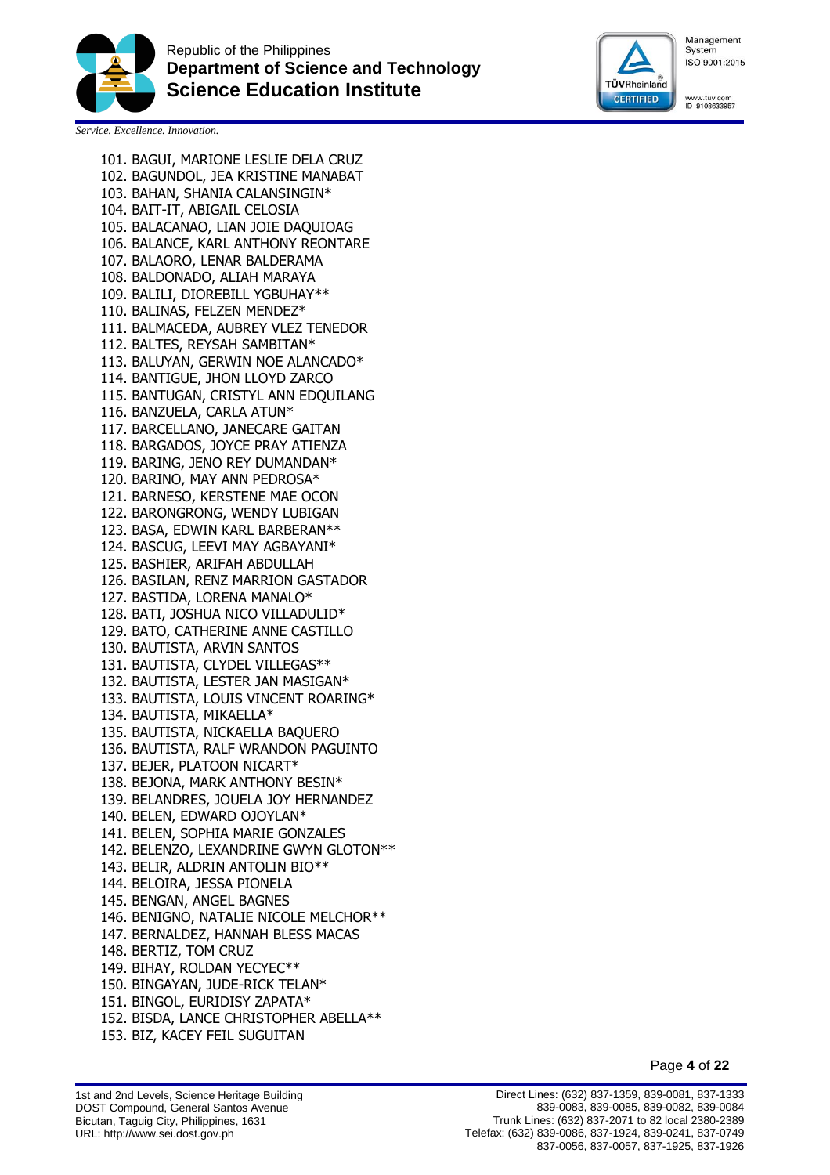



www.tuv.com<br>ID 9108633957

*Service. Excellence. Innovation.*

101. BAGUI, MARIONE LESLIE DELA CRUZ 102. BAGUNDOL, JEA KRISTINE MANABAT 103. BAHAN, SHANIA CALANSINGIN\* 104. BAIT-IT, ABIGAIL CELOSIA 105. BALACANAO, LIAN JOIE DAQUIOAG 106. BALANCE, KARL ANTHONY REONTARE 107. BALAORO, LENAR BALDERAMA 108. BALDONADO, ALIAH MARAYA 109. BALILI, DIOREBILL YGBUHAY\*\* 110. BALINAS, FELZEN MENDEZ\* 111. BALMACEDA, AUBREY VLEZ TENEDOR 112. BALTES, REYSAH SAMBITAN\* 113. BALUYAN, GERWIN NOE ALANCADO\* 114. BANTIGUE, JHON LLOYD ZARCO 115. BANTUGAN, CRISTYL ANN EDQUILANG 116. BANZUELA, CARLA ATUN\* 117. BARCELLANO, JANECARE GAITAN 118. BARGADOS, JOYCE PRAY ATIENZA 119. BARING, JENO REY DUMANDAN\* 120. BARINO, MAY ANN PEDROSA\* 121. BARNESO, KERSTENE MAE OCON 122. BARONGRONG, WENDY LUBIGAN 123. BASA, EDWIN KARL BARBERAN\*\* 124. BASCUG, LEEVI MAY AGBAYANI\* 125. BASHIER, ARIFAH ABDULLAH 126. BASILAN, RENZ MARRION GASTADOR 127. BASTIDA, LORENA MANALO\* 128. BATI, JOSHUA NICO VILLADULID\* 129. BATO, CATHERINE ANNE CASTILLO 130. BAUTISTA, ARVIN SANTOS 131. BAUTISTA, CLYDEL VILLEGAS\*\* 132. BAUTISTA, LESTER JAN MASIGAN\* 133. BAUTISTA, LOUIS VINCENT ROARING\* 134. BAUTISTA, MIKAELLA\* 135. BAUTISTA, NICKAELLA BAQUERO 136. BAUTISTA, RALF WRANDON PAGUINTO 137. BEJER, PLATOON NICART\* 138. BEJONA, MARK ANTHONY BESIN\* 139. BELANDRES, JOUELA JOY HERNANDEZ 140. BELEN, EDWARD OJOYLAN\* 141. BELEN, SOPHIA MARIE GONZALES 142. BELENZO, LEXANDRINE GWYN GLOTON\*\* 143. BELIR, ALDRIN ANTOLIN BIO\*\* 144. BELOIRA, JESSA PIONELA 145. BENGAN, ANGEL BAGNES 146. BENIGNO, NATALIE NICOLE MELCHOR\*\* 147. BERNALDEZ, HANNAH BLESS MACAS 148. BERTIZ, TOM CRUZ 149. BIHAY, ROLDAN YECYEC\*\* 150. BINGAYAN, JUDE-RICK TELAN\* 151. BINGOL, EURIDISY ZAPATA\* 152. BISDA, LANCE CHRISTOPHER ABELLA\*\* 153. BIZ, KACEY FEIL SUGUITAN

Page **4** of **22**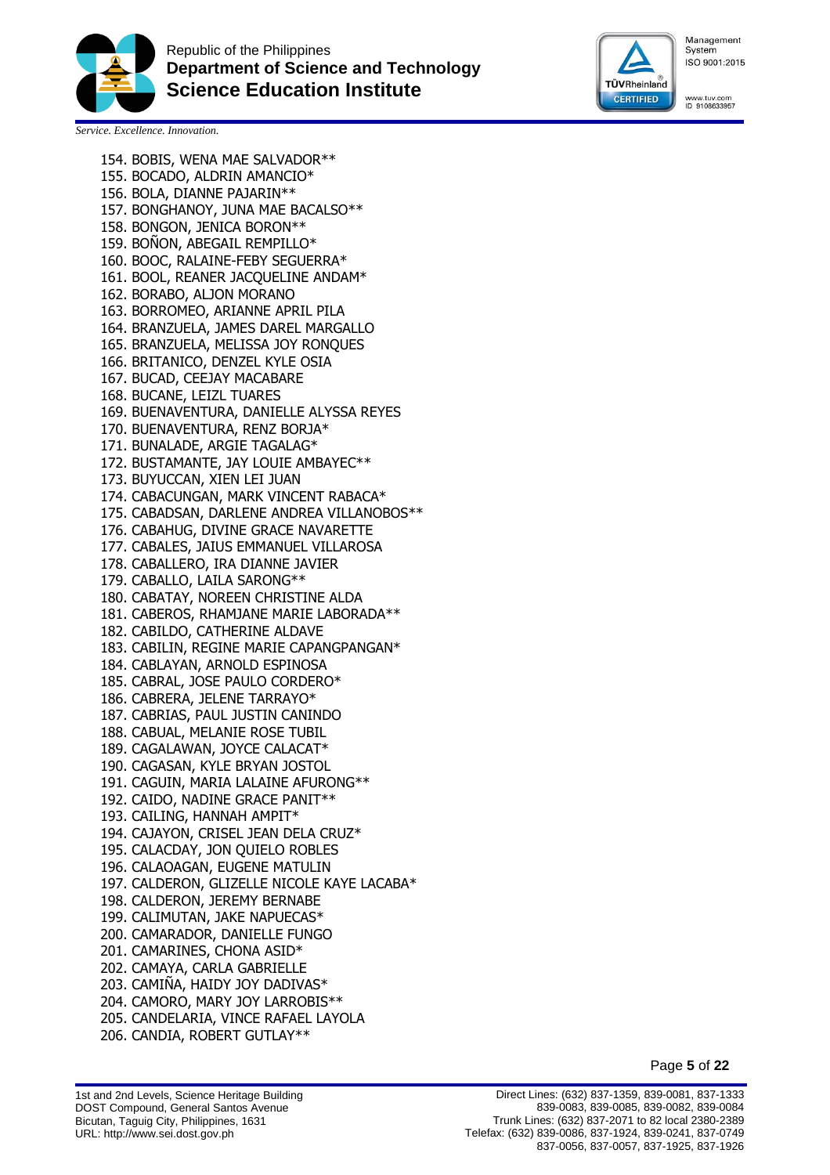



www.tuv.com<br>ID 9108633957

*Service. Excellence. Innovation.*

154. BOBIS, WENA MAE SALVADOR\*\* 155. BOCADO, ALDRIN AMANCIO\* 156. BOLA, DIANNE PAJARIN\*\* 157. BONGHANOY, JUNA MAE BACALSO\*\* 158. BONGON, JENICA BORON\*\* 159. BOÑON, ABEGAIL REMPILLO\* 160. BOOC, RALAINE-FEBY SEGUERRA\* 161. BOOL, REANER JACQUELINE ANDAM\* 162. BORABO, ALJON MORANO 163. BORROMEO, ARIANNE APRIL PILA 164. BRANZUELA, JAMES DAREL MARGALLO 165. BRANZUELA, MELISSA JOY RONQUES 166. BRITANICO, DENZEL KYLE OSIA 167. BUCAD, CEEJAY MACABARE 168. BUCANE, LEIZL TUARES 169. BUENAVENTURA, DANIELLE ALYSSA REYES 170. BUENAVENTURA, RENZ BORJA\* 171. BUNALADE, ARGIE TAGALAG\* 172. BUSTAMANTE, JAY LOUIE AMBAYEC\*\* 173. BUYUCCAN, XIEN LEI JUAN 174. CABACUNGAN, MARK VINCENT RABACA\* 175. CABADSAN, DARLENE ANDREA VILLANOBOS\*\* 176. CABAHUG, DIVINE GRACE NAVARETTE 177. CABALES, JAIUS EMMANUEL VILLAROSA 178. CABALLERO, IRA DIANNE JAVIER 179. CABALLO, LAILA SARONG\*\* 180. CABATAY, NOREEN CHRISTINE ALDA 181. CABEROS, RHAMJANE MARIE LABORADA\*\* 182. CABILDO, CATHERINE ALDAVE 183. CABILIN, REGINE MARIE CAPANGPANGAN\* 184. CABLAYAN, ARNOLD ESPINOSA 185. CABRAL, JOSE PAULO CORDERO\* 186. CABRERA, JELENE TARRAYO\* 187. CABRIAS, PAUL JUSTIN CANINDO 188. CABUAL, MELANIE ROSE TUBIL 189. CAGALAWAN, JOYCE CALACAT\* 190. CAGASAN, KYLE BRYAN JOSTOL 191. CAGUIN, MARIA LALAINE AFURONG\*\* 192. CAIDO, NADINE GRACE PANIT\*\* 193. CAILING, HANNAH AMPIT\* 194. CAJAYON, CRISEL JEAN DELA CRUZ\* 195. CALACDAY, JON QUIELO ROBLES 196. CALAOAGAN, EUGENE MATULIN 197. CALDERON, GLIZELLE NICOLE KAYE LACABA\* 198. CALDERON, JEREMY BERNABE 199. CALIMUTAN, JAKE NAPUECAS\* 200. CAMARADOR, DANIELLE FUNGO 201. CAMARINES, CHONA ASID\* 202. CAMAYA, CARLA GABRIELLE 203. CAMIÑA, HAIDY JOY DADIVAS\* 204. CAMORO, MARY JOY LARROBIS\*\* 205. CANDELARIA, VINCE RAFAEL LAYOLA 206. CANDIA, ROBERT GUTLAY\*\*

Page **5** of **22**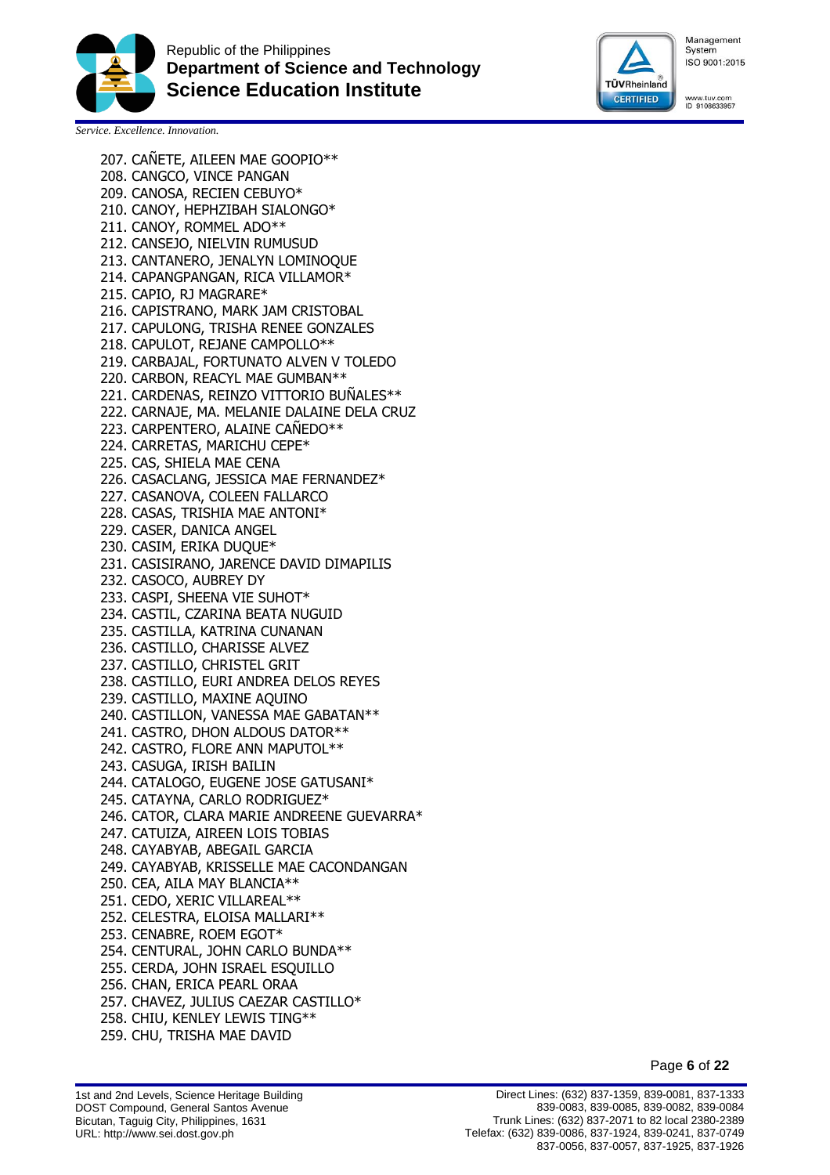



www.tuv.com<br>ID 9108633957

*Service. Excellence. Innovation.*

207. CAÑETE, AILEEN MAE GOOPIO\*\* 208. CANGCO, VINCE PANGAN 209. CANOSA, RECIEN CEBUYO\* 210. CANOY, HEPHZIBAH SIALONGO\* 211. CANOY, ROMMEL ADO\*\* 212. CANSEJO, NIELVIN RUMUSUD 213. CANTANERO, JENALYN LOMINOQUE 214. CAPANGPANGAN, RICA VILLAMOR\* 215. CAPIO, RJ MAGRARE\* 216. CAPISTRANO, MARK JAM CRISTOBAL 217. CAPULONG, TRISHA RENEE GONZALES 218. CAPULOT, REJANE CAMPOLLO\*\* 219. CARBAJAL, FORTUNATO ALVEN V TOLEDO 220. CARBON, REACYL MAE GUMBAN\*\* 221. CARDENAS, REINZO VITTORIO BUNALES\*\* 222. CARNAJE, MA. MELANIE DALAINE DELA CRUZ 223. CARPENTERO, ALAINE CANEDO\*\* 224. CARRETAS, MARICHU CEPE\* 225. CAS, SHIELA MAE CENA 226. CASACLANG, JESSICA MAE FERNANDEZ\* 227. CASANOVA, COLEEN FALLARCO 228. CASAS, TRISHIA MAE ANTONI\* 229. CASER, DANICA ANGEL 230. CASIM, ERIKA DUQUE\* 231. CASISIRANO, JARENCE DAVID DIMAPILIS 232. CASOCO, AUBREY DY 233. CASPI, SHEENA VIE SUHOT\* 234. CASTIL, CZARINA BEATA NUGUID 235. CASTILLA, KATRINA CUNANAN 236. CASTILLO, CHARISSE ALVEZ 237. CASTILLO, CHRISTEL GRIT 238. CASTILLO, EURI ANDREA DELOS REYES 239. CASTILLO, MAXINE AQUINO 240. CASTILLON, VANESSA MAE GABATAN\*\* 241. CASTRO, DHON ALDOUS DATOR\*\* 242. CASTRO, FLORE ANN MAPUTOL\*\* 243. CASUGA, IRISH BAILIN 244. CATALOGO, EUGENE JOSE GATUSANI\* 245. CATAYNA, CARLO RODRIGUEZ\* 246. CATOR, CLARA MARIE ANDREENE GUEVARRA\* 247. CATUIZA, AIREEN LOIS TOBIAS 248. CAYABYAB, ABEGAIL GARCIA 249. CAYABYAB, KRISSELLE MAE CACONDANGAN 250. CEA, AILA MAY BLANCIA\*\* 251. CEDO, XERIC VILLAREAL\*\* 252. CELESTRA, ELOISA MALLARI\*\* 253. CENABRE, ROEM EGOT\* 254. CENTURAL, JOHN CARLO BUNDA\*\* 255. CERDA, JOHN ISRAEL ESQUILLO 256. CHAN, ERICA PEARL ORAA 257. CHAVEZ, JULIUS CAEZAR CASTILLO\* 258. CHIU, KENLEY LEWIS TING\*\* 259. CHU, TRISHA MAE DAVID

Page **6** of **22**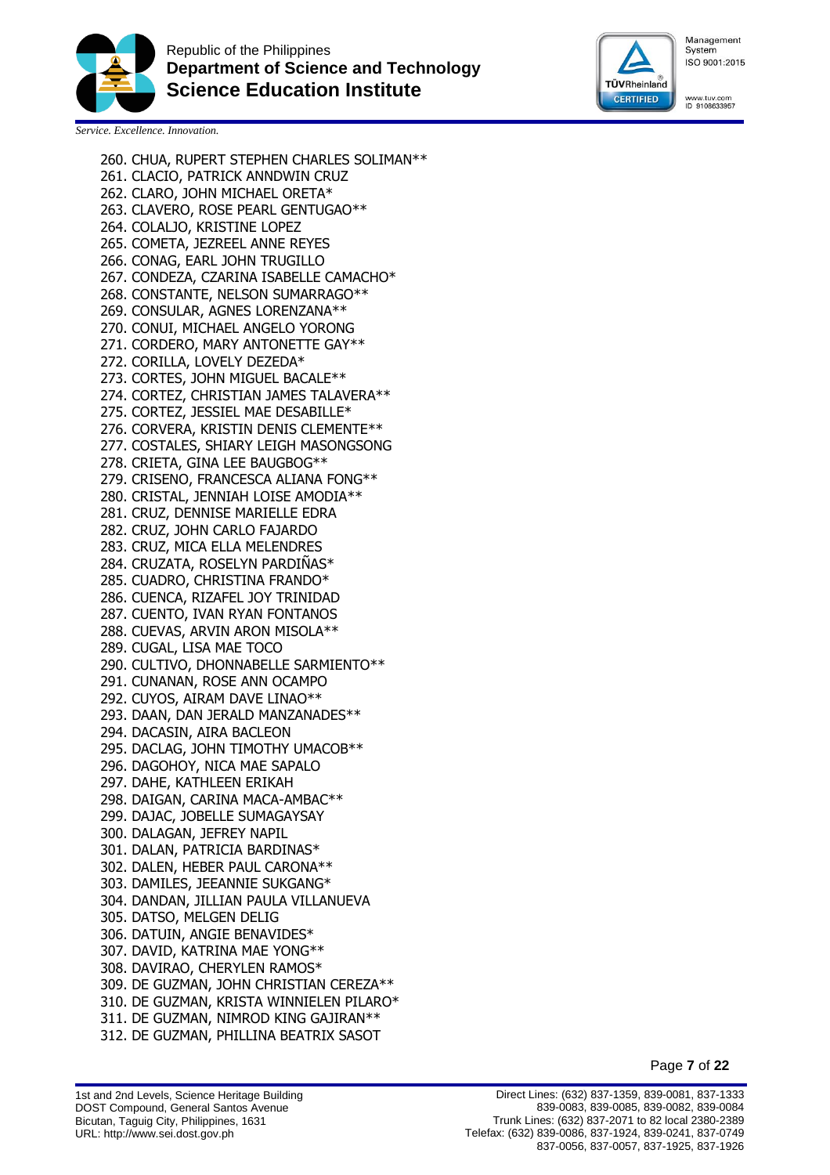



www.tuv.com<br>ID 9108633957

*Service. Excellence. Innovation.*

260. CHUA, RUPERT STEPHEN CHARLES SOLIMAN\*\* 261. CLACIO, PATRICK ANNDWIN CRUZ 262. CLARO, JOHN MICHAEL ORETA\* 263. CLAVERO, ROSE PEARL GENTUGAO\*\* 264. COLALJO, KRISTINE LOPEZ 265. COMETA, JEZREEL ANNE REYES 266. CONAG, EARL JOHN TRUGILLO 267. CONDEZA, CZARINA ISABELLE CAMACHO\* 268. CONSTANTE, NELSON SUMARRAGO\*\* 269. CONSULAR, AGNES LORENZANA\*\* 270. CONUI, MICHAEL ANGELO YORONG 271. CORDERO, MARY ANTONETTE GAY\*\* 272. CORILLA, LOVELY DEZEDA\* 273. CORTES, JOHN MIGUEL BACALE\*\* 274. CORTEZ, CHRISTIAN JAMES TALAVERA\*\* 275. CORTEZ, JESSIEL MAE DESABILLE\* 276. CORVERA, KRISTIN DENIS CLEMENTE\*\* 277. COSTALES, SHIARY LEIGH MASONGSONG 278. CRIETA, GINA LEE BAUGBOG\*\* 279. CRISENO, FRANCESCA ALIANA FONG\*\* 280. CRISTAL, JENNIAH LOISE AMODIA\*\* 281. CRUZ, DENNISE MARIELLE EDRA 282. CRUZ, JOHN CARLO FAJARDO 283. CRUZ, MICA ELLA MELENDRES 284. CRUZATA, ROSELYN PARDINAS\* 285. CUADRO, CHRISTINA FRANDO\* 286. CUENCA, RIZAFEL JOY TRINIDAD 287. CUENTO, IVAN RYAN FONTANOS 288. CUEVAS, ARVIN ARON MISOLA\*\* 289. CUGAL, LISA MAE TOCO 290. CULTIVO, DHONNABELLE SARMIENTO\*\* 291. CUNANAN, ROSE ANN OCAMPO 292. CUYOS, AIRAM DAVE LINAO\*\* 293. DAAN, DAN JERALD MANZANADES\*\* 294. DACASIN, AIRA BACLEON 295. DACLAG, JOHN TIMOTHY UMACOB\*\* 296. DAGOHOY, NICA MAE SAPALO 297. DAHE, KATHLEEN ERIKAH 298. DAIGAN, CARINA MACA-AMBAC\*\* 299. DAJAC, JOBELLE SUMAGAYSAY 300. DALAGAN, JEFREY NAPIL 301. DALAN, PATRICIA BARDINAS\* 302. DALEN, HEBER PAUL CARONA\*\* 303. DAMILES, JEEANNIE SUKGANG\* 304. DANDAN, JILLIAN PAULA VILLANUEVA 305. DATSO, MELGEN DELIG 306. DATUIN, ANGIE BENAVIDES\* 307. DAVID, KATRINA MAE YONG\*\* 308. DAVIRAO, CHERYLEN RAMOS\* 309. DE GUZMAN, JOHN CHRISTIAN CEREZA\*\* 310. DE GUZMAN, KRISTA WINNIELEN PILARO\* 311. DE GUZMAN, NIMROD KING GAJIRAN\*\* 312. DE GUZMAN, PHILLINA BEATRIX SASOT

Page **7** of **22**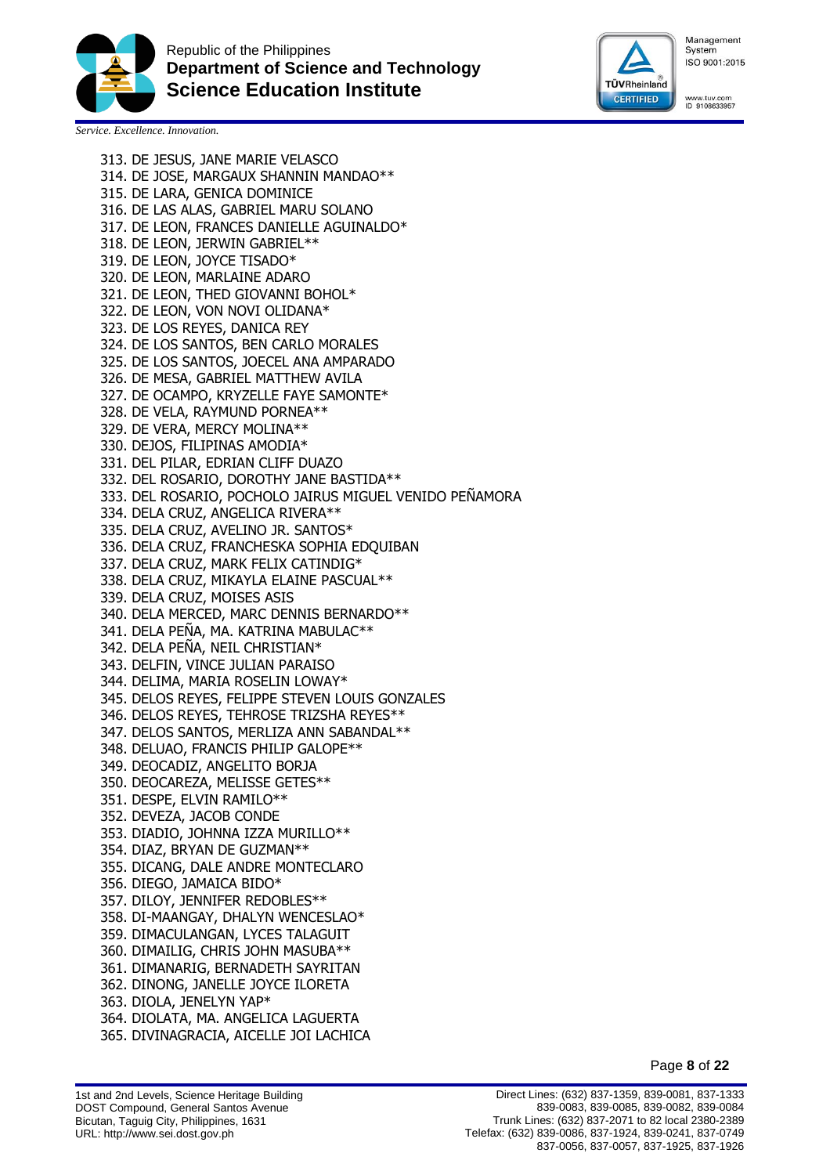



www.tuv.com<br>ID 9108633957

*Service. Excellence. Innovation.*

313. DE JESUS, JANE MARIE VELASCO 314. DE JOSE, MARGAUX SHANNIN MANDAO\*\* 315. DE LARA, GENICA DOMINICE 316. DE LAS ALAS, GABRIEL MARU SOLANO 317. DE LEON, FRANCES DANIELLE AGUINALDO\* 318. DE LEON, JERWIN GABRIEL\*\* 319. DE LEON, JOYCE TISADO\* 320. DE LEON, MARLAINE ADARO 321. DE LEON, THED GIOVANNI BOHOL\* 322. DE LEON, VON NOVI OLIDANA\* 323. DE LOS REYES, DANICA REY 324. DE LOS SANTOS, BEN CARLO MORALES 325. DE LOS SANTOS, JOECEL ANA AMPARADO 326. DE MESA, GABRIEL MATTHEW AVILA 327. DE OCAMPO, KRYZELLE FAYE SAMONTE\* 328. DE VELA, RAYMUND PORNEA\*\* 329. DE VERA, MERCY MOLINA\*\* 330. DEJOS, FILIPINAS AMODIA\* 331. DEL PILAR, EDRIAN CLIFF DUAZO 332. DEL ROSARIO, DOROTHY JANE BASTIDA\*\* 333. DEL ROSARIO, POCHOLO JAIRUS MIGUEL VENIDO PEÑAMORA 334. DELA CRUZ, ANGELICA RIVERA\*\* 335. DELA CRUZ, AVELINO JR. SANTOS\* 336. DELA CRUZ, FRANCHESKA SOPHIA EDQUIBAN 337. DELA CRUZ, MARK FELIX CATINDIG\* 338. DELA CRUZ, MIKAYLA ELAINE PASCUAL\*\* 339. DELA CRUZ, MOISES ASIS 340. DELA MERCED, MARC DENNIS BERNARDO\*\* 341. DELA PEÑA, MA. KATRINA MABULAC\*\* 342. DELA PEÑA, NEIL CHRISTIAN\* 343. DELFIN, VINCE JULIAN PARAISO 344. DELIMA, MARIA ROSELIN LOWAY\* 345. DELOS REYES, FELIPPE STEVEN LOUIS GONZALES 346. DELOS REYES, TEHROSE TRIZSHA REYES\*\* 347. DELOS SANTOS, MERLIZA ANN SABANDAL\*\* 348. DELUAO, FRANCIS PHILIP GALOPE\*\* 349. DEOCADIZ, ANGELITO BORJA 350. DEOCAREZA, MELISSE GETES\*\* 351. DESPE, ELVIN RAMILO\*\* 352. DEVEZA, JACOB CONDE 353. DIADIO, JOHNNA IZZA MURILLO\*\* 354. DIAZ, BRYAN DE GUZMAN\*\* 355. DICANG, DALE ANDRE MONTECLARO 356. DIEGO, JAMAICA BIDO\* 357. DILOY, JENNIFER REDOBLES\*\* 358. DI-MAANGAY, DHALYN WENCESLAO\* 359. DIMACULANGAN, LYCES TALAGUIT 360. DIMAILIG, CHRIS JOHN MASUBA\*\* 361. DIMANARIG, BERNADETH SAYRITAN 362. DINONG, JANELLE JOYCE ILORETA 363. DIOLA, JENELYN YAP\* 364. DIOLATA, MA. ANGELICA LAGUERTA 365. DIVINAGRACIA, AICELLE JOI LACHICA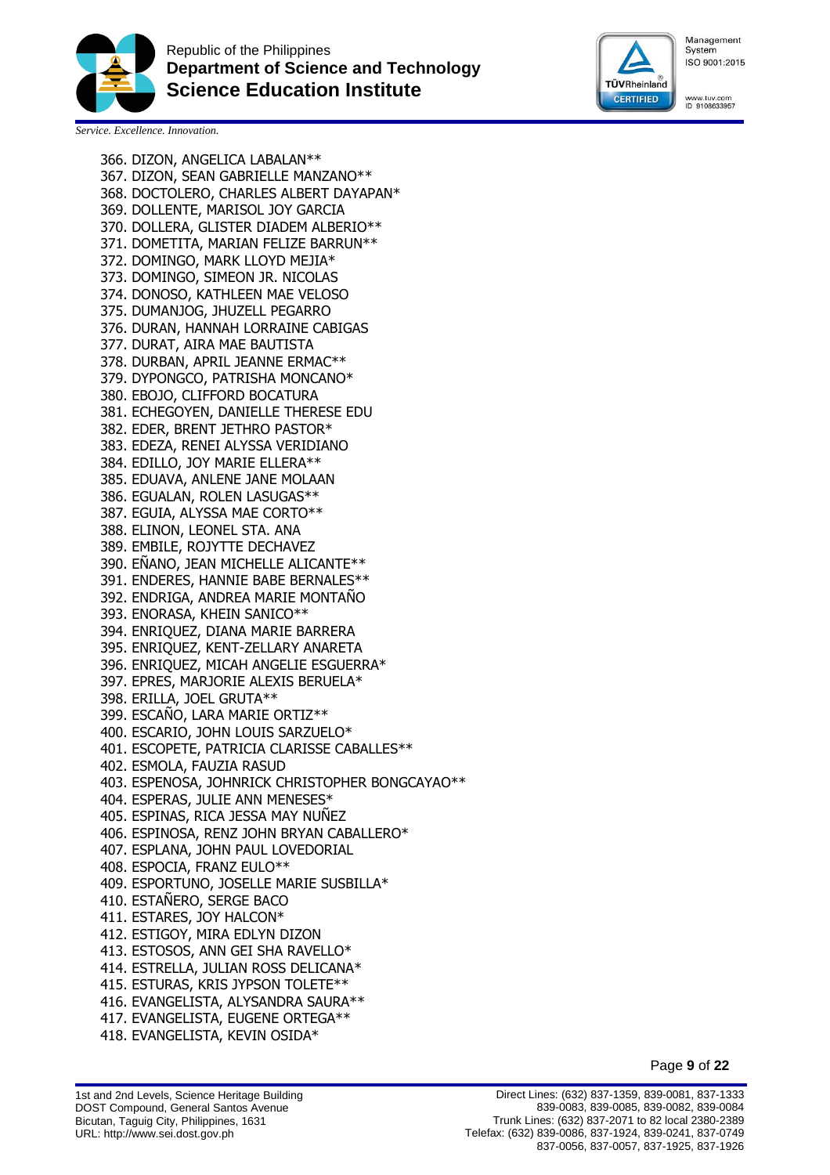



www.tuv.com<br>ID 9108633957

*Service. Excellence. Innovation.*

366. DIZON, ANGELICA LABALAN\*\* 367. DIZON, SEAN GABRIELLE MANZANO\*\* 368. DOCTOLERO, CHARLES ALBERT DAYAPAN\* 369. DOLLENTE, MARISOL JOY GARCIA 370. DOLLERA, GLISTER DIADEM ALBERIO\*\* 371. DOMETITA, MARIAN FELIZE BARRUN\*\* 372. DOMINGO, MARK LLOYD MEJIA\* 373. DOMINGO, SIMEON JR. NICOLAS 374. DONOSO, KATHLEEN MAE VELOSO 375. DUMANJOG, JHUZELL PEGARRO 376. DURAN, HANNAH LORRAINE CABIGAS 377. DURAT, AIRA MAE BAUTISTA 378. DURBAN, APRIL JEANNE ERMAC\*\* 379. DYPONGCO, PATRISHA MONCANO\* 380. EBOJO, CLIFFORD BOCATURA 381. ECHEGOYEN, DANIELLE THERESE EDU 382. EDER, BRENT JETHRO PASTOR\* 383. EDEZA, RENEI ALYSSA VERIDIANO 384. EDILLO, JOY MARIE ELLERA\*\* 385. EDUAVA, ANLENE JANE MOLAAN 386. EGUALAN, ROLEN LASUGAS\*\* 387. EGUIA, ALYSSA MAE CORTO\*\* 388. ELINON, LEONEL STA. ANA 389. EMBILE, ROJYTTE DECHAVEZ 390. ENANO, JEAN MICHELLE ALICANTE\*\* 391. ENDERES, HANNIE BABE BERNALES\*\* 392. ENDRIGA, ANDREA MARIE MONTAÑO 393. ENORASA, KHEIN SANICO\*\* 394. ENRIQUEZ, DIANA MARIE BARRERA 395. ENRIQUEZ, KENT-ZELLARY ANARETA 396. ENRIQUEZ, MICAH ANGELIE ESGUERRA\* 397. EPRES, MARJORIE ALEXIS BERUELA\* 398. ERILLA, JOEL GRUTA\*\* 399. ESCANO, LARA MARIE ORTIZ\*\* 400. ESCARIO, JOHN LOUIS SARZUELO\* 401. ESCOPETE, PATRICIA CLARISSE CABALLES\*\* 402. ESMOLA, FAUZIA RASUD 403. ESPENOSA, JOHNRICK CHRISTOPHER BONGCAYAO\*\* 404. ESPERAS, JULIE ANN MENESES\* 405. ESPINAS, RICA JESSA MAY NUÑEZ 406. ESPINOSA, RENZ JOHN BRYAN CABALLERO\* 407. ESPLANA, JOHN PAUL LOVEDORIAL 408. ESPOCIA, FRANZ EULO\*\* 409. ESPORTUNO, JOSELLE MARIE SUSBILLA\* 410. ESTAÑERO, SERGE BACO 411. ESTARES, JOY HALCON\* 412. ESTIGOY, MIRA EDLYN DIZON 413. ESTOSOS, ANN GEI SHA RAVELLO\* 414. ESTRELLA, JULIAN ROSS DELICANA\* 415. ESTURAS, KRIS JYPSON TOLETE\*\* 416. EVANGELISTA, ALYSANDRA SAURA\*\* 417. EVANGELISTA, EUGENE ORTEGA\*\* 418. EVANGELISTA, KEVIN OSIDA\*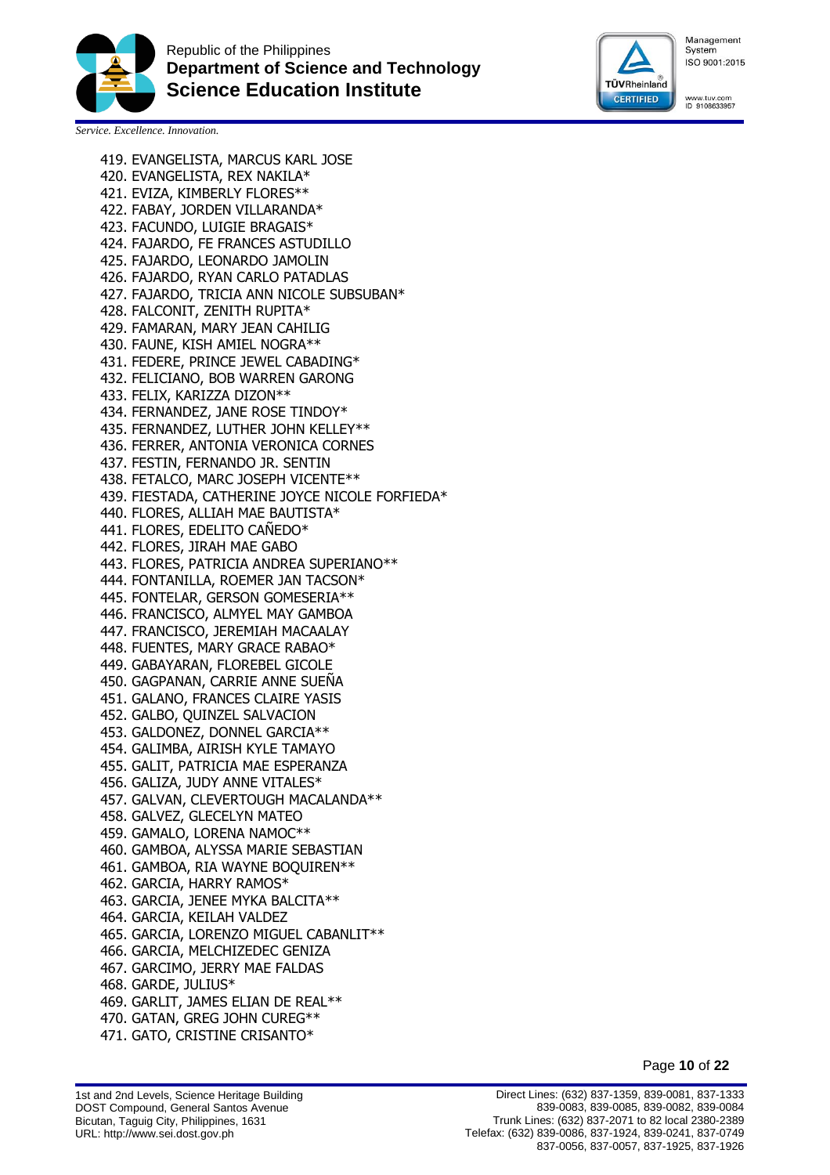



www.tuv.com<br>ID 9108633957

*Service. Excellence. Innovation.*

419. EVANGELISTA, MARCUS KARL JOSE 420. EVANGELISTA, REX NAKILA\* 421. EVIZA, KIMBERLY FLORES\*\* 422. FABAY, JORDEN VILLARANDA\* 423. FACUNDO, LUIGIE BRAGAIS\* 424. FAJARDO, FE FRANCES ASTUDILLO 425. FAJARDO, LEONARDO JAMOLIN 426. FAJARDO, RYAN CARLO PATADLAS 427. FAJARDO, TRICIA ANN NICOLE SUBSUBAN\* 428. FALCONIT, ZENITH RUPITA\* 429. FAMARAN, MARY JEAN CAHILIG 430. FAUNE, KISH AMIEL NOGRA\*\* 431. FEDERE, PRINCE JEWEL CABADING\* 432. FELICIANO, BOB WARREN GARONG 433. FELIX, KARIZZA DIZON\*\* 434. FERNANDEZ, JANE ROSE TINDOY\* 435. FERNANDEZ, LUTHER JOHN KELLEY\*\* 436. FERRER, ANTONIA VERONICA CORNES 437. FESTIN, FERNANDO JR. SENTIN 438. FETALCO, MARC JOSEPH VICENTE\*\* 439. FIESTADA, CATHERINE JOYCE NICOLE FORFIEDA\* 440. FLORES, ALLIAH MAE BAUTISTA\* 441. FLORES, EDELITO CAÑEDO\* 442. FLORES, JIRAH MAE GABO 443. FLORES, PATRICIA ANDREA SUPERIANO\*\* 444. FONTANILLA, ROEMER JAN TACSON\* 445. FONTELAR, GERSON GOMESERIA\*\* 446. FRANCISCO, ALMYEL MAY GAMBOA 447. FRANCISCO, JEREMIAH MACAALAY 448. FUENTES, MARY GRACE RABAO\* 449. GABAYARAN, FLOREBEL GICOLE 450. GAGPANAN, CARRIE ANNE SUEÑA 451. GALANO, FRANCES CLAIRE YASIS 452. GALBO, QUINZEL SALVACION 453. GALDONEZ, DONNEL GARCIA\*\* 454. GALIMBA, AIRISH KYLE TAMAYO 455. GALIT, PATRICIA MAE ESPERANZA 456. GALIZA, JUDY ANNE VITALES\* 457. GALVAN, CLEVERTOUGH MACALANDA\*\* 458. GALVEZ, GLECELYN MATEO 459. GAMALO, LORENA NAMOC\*\* 460. GAMBOA, ALYSSA MARIE SEBASTIAN 461. GAMBOA, RIA WAYNE BOQUIREN\*\* 462. GARCIA, HARRY RAMOS\* 463. GARCIA, JENEE MYKA BALCITA\*\* 464. GARCIA, KEILAH VALDEZ 465. GARCIA, LORENZO MIGUEL CABANLIT\*\* 466. GARCIA, MELCHIZEDEC GENIZA 467. GARCIMO, JERRY MAE FALDAS 468. GARDE, JULIUS\* 469. GARLIT, JAMES ELIAN DE REAL\*\* 470. GATAN, GREG JOHN CUREG\*\* 471. GATO, CRISTINE CRISANTO\*

Page **10** of **22**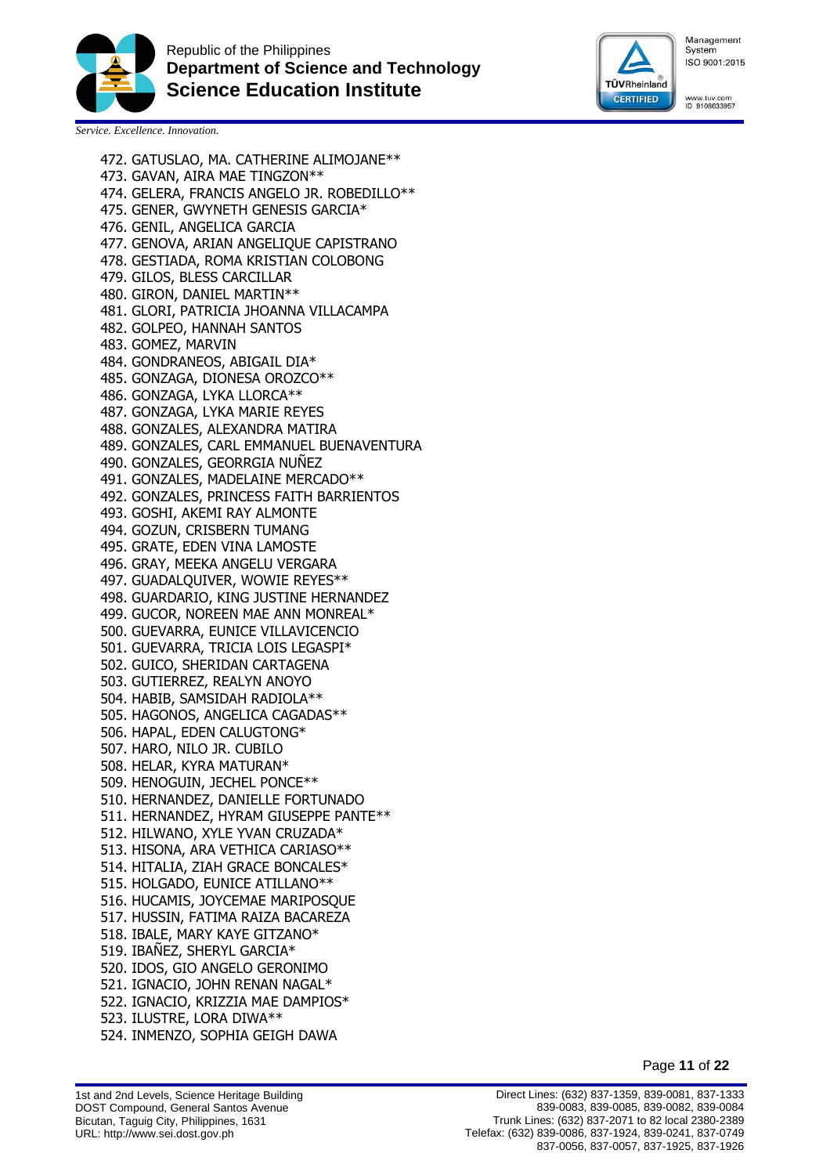



www.tuv.com<br>ID 9108633957

*Service. Excellence. Innovation.*

473. GAVAN, AIRA MAE TINGZON\*\* 474. GELERA, FRANCIS ANGELO JR. ROBEDILLO\*\* 475. GENER, GWYNETH GENESIS GARCIA\* 476. GENIL, ANGELICA GARCIA 477. GENOVA, ARIAN ANGELIQUE CAPISTRANO 478. GESTIADA, ROMA KRISTIAN COLOBONG 479. GILOS, BLESS CARCILLAR 480. GIRON, DANIEL MARTIN\*\* 481. GLORI, PATRICIA JHOANNA VILLACAMPA 482. GOLPEO, HANNAH SANTOS 483. GOMEZ, MARVIN 484. GONDRANEOS, ABIGAIL DIA\* 485. GONZAGA, DIONESA OROZCO\*\* 486. GONZAGA, LYKA LLORCA\*\* 487. GONZAGA, LYKA MARIE REYES 488. GONZALES, ALEXANDRA MATIRA 489. GONZALES, CARL EMMANUEL BUENAVENTURA 490. GONZALES, GEORRGIA NUÑEZ 491. GONZALES, MADELAINE MERCADO\*\* 492. GONZALES, PRINCESS FAITH BARRIENTOS 493. GOSHI, AKEMI RAY ALMONTE 494. GOZUN, CRISBERN TUMANG 495. GRATE, EDEN VINA LAMOSTE 496. GRAY, MEEKA ANGELU VERGARA 497. GUADALQUIVER, WOWIE REYES\*\* 498. GUARDARIO, KING JUSTINE HERNANDEZ 499. GUCOR, NOREEN MAE ANN MONREAL\* 500. GUEVARRA, EUNICE VILLAVICENCIO 501. GUEVARRA, TRICIA LOIS LEGASPI\* 502. GUICO, SHERIDAN CARTAGENA 503. GUTIERREZ, REALYN ANOYO 504. HABIB, SAMSIDAH RADIOLA\*\* 505. HAGONOS, ANGELICA CAGADAS\*\* 506. HAPAL, EDEN CALUGTONG\* 507. HARO, NILO JR. CUBILO 508. HELAR, KYRA MATURAN\* 509. HENOGUIN, JECHEL PONCE\*\* 510. HERNANDEZ, DANIELLE FORTUNADO 511. HERNANDEZ, HYRAM GIUSEPPE PANTE\*\* 512. HILWANO, XYLE YVAN CRUZADA\* 513. HISONA, ARA VETHICA CARIASO\*\* 514. HITALIA, ZIAH GRACE BONCALES\* 515. HOLGADO, EUNICE ATILLANO\*\* 516. HUCAMIS, JOYCEMAE MARIPOSQUE 517. HUSSIN, FATIMA RAIZA BACAREZA 518. IBALE, MARY KAYE GITZANO\* 519. IBAÑEZ, SHERYL GARCIA\* 520. IDOS, GIO ANGELO GERONIMO 521. IGNACIO, JOHN RENAN NAGAL\* 522. IGNACIO, KRIZZIA MAE DAMPIOS\* 523. ILUSTRE, LORA DIWA\*\* 524. INMENZO, SOPHIA GEIGH DAWA

472. GATUSLAO, MA. CATHERINE ALIMOJANE\*\*

Page **11** of **22**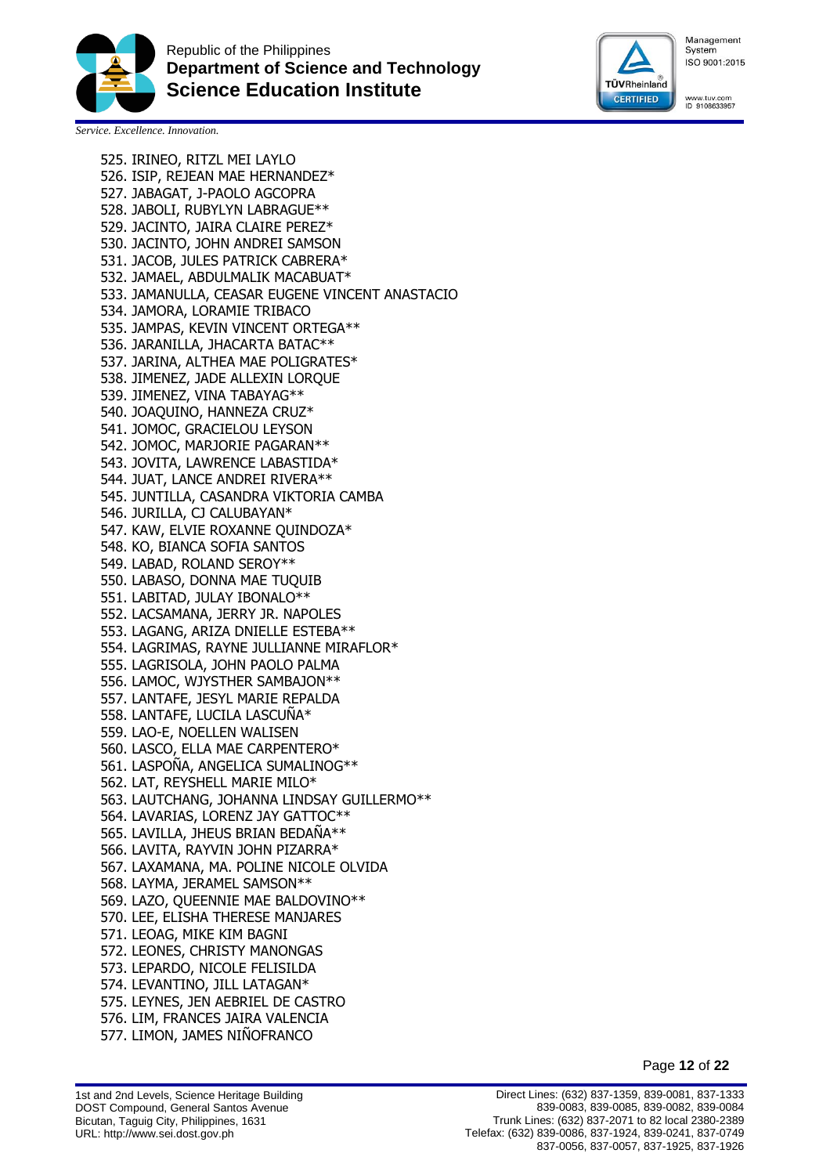



www.tuv.com<br>ID 9108633957

*Service. Excellence. Innovation.*

525. IRINEO, RITZL MEI LAYLO 526. ISIP, REJEAN MAE HERNANDEZ\* 527. JABAGAT, J-PAOLO AGCOPRA 528. JABOLI, RUBYLYN LABRAGUE\*\* 529. JACINTO, JAIRA CLAIRE PEREZ\* 530. JACINTO, JOHN ANDREI SAMSON 531. JACOB, JULES PATRICK CABRERA\* 532. JAMAEL, ABDULMALIK MACABUAT\* 533. JAMANULLA, CEASAR EUGENE VINCENT ANASTACIO 534. JAMORA, LORAMIE TRIBACO 535. JAMPAS, KEVIN VINCENT ORTEGA\*\* 536. JARANILLA, JHACARTA BATAC\*\* 537. JARINA, ALTHEA MAE POLIGRATES\* 538. JIMENEZ, JADE ALLEXIN LORQUE 539. JIMENEZ, VINA TABAYAG\*\* 540. JOAQUINO, HANNEZA CRUZ\* 541. JOMOC, GRACIELOU LEYSON 542. JOMOC, MARJORIE PAGARAN\*\* 543. JOVITA, LAWRENCE LABASTIDA\* 544. JUAT, LANCE ANDREI RIVERA\*\* 545. JUNTILLA, CASANDRA VIKTORIA CAMBA 546. JURILLA, CJ CALUBAYAN\* 547. KAW, ELVIE ROXANNE QUINDOZA\* 548. KO, BIANCA SOFIA SANTOS 549. LABAD, ROLAND SEROY\*\* 550. LABASO, DONNA MAE TUQUIB 551. LABITAD, JULAY IBONALO\*\* 552. LACSAMANA, JERRY JR. NAPOLES 553. LAGANG, ARIZA DNIELLE ESTEBA\*\* 554. LAGRIMAS, RAYNE JULLIANNE MIRAFLOR\* 555. LAGRISOLA, JOHN PAOLO PALMA 556. LAMOC, WJYSTHER SAMBAJON\*\* 557. LANTAFE, JESYL MARIE REPALDA 558. LANTAFE, LUCILA LASCUNA\* 559. LAO-E, NOELLEN WALISEN 560. LASCO, ELLA MAE CARPENTERO\* 561. LASPOÑA, ANGELICA SUMALINOG\*\* 562. LAT, REYSHELL MARIE MILO\* 563. LAUTCHANG, JOHANNA LINDSAY GUILLERMO\*\* 564. LAVARIAS, LORENZ JAY GATTOC\*\* 565. LAVILLA, JHEUS BRIAN BEDAÑA\*\* 566. LAVITA, RAYVIN JOHN PIZARRA\* 567. LAXAMANA, MA. POLINE NICOLE OLVIDA 568. LAYMA, JERAMEL SAMSON\*\* 569. LAZO, QUEENNIE MAE BALDOVINO\*\* 570. LEE, ELISHA THERESE MANJARES 571. LEOAG, MIKE KIM BAGNI 572. LEONES, CHRISTY MANONGAS 573. LEPARDO, NICOLE FELISILDA 574. LEVANTINO, JILL LATAGAN\* 575. LEYNES, JEN AEBRIEL DE CASTRO 576. LIM, FRANCES JAIRA VALENCIA 577. LIMON, JAMES NIÑOFRANCO

Page **12** of **22**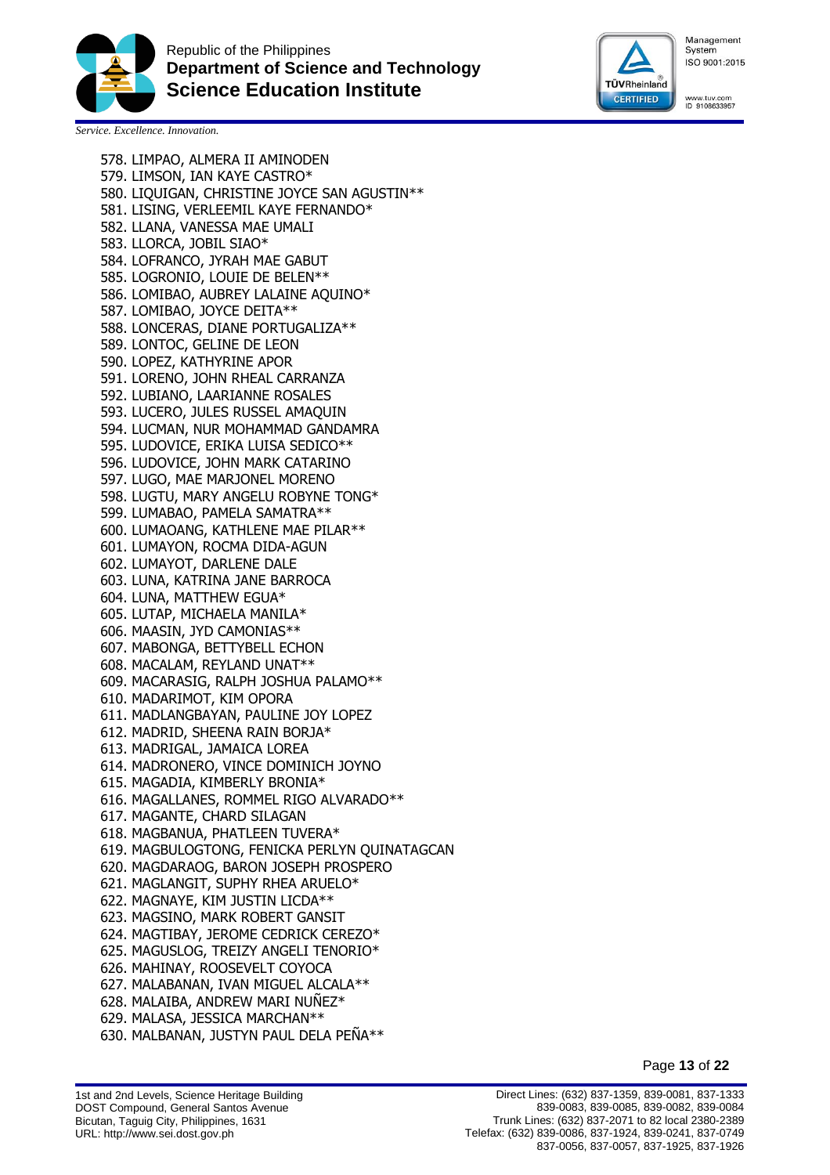



www.tuv.com<br>ID 9108633957

*Service. Excellence. Innovation.*

578. LIMPAO, ALMERA II AMINODEN 579. LIMSON, IAN KAYE CASTRO\* 580. LIQUIGAN, CHRISTINE JOYCE SAN AGUSTIN\*\* 581. LISING, VERLEEMIL KAYE FERNANDO\* 582. LLANA, VANESSA MAE UMALI 583. LLORCA, JOBIL SIAO\* 584. LOFRANCO, JYRAH MAE GABUT 585. LOGRONIO, LOUIE DE BELEN\*\* 586. LOMIBAO, AUBREY LALAINE AQUINO\* 587. LOMIBAO, JOYCE DEITA\*\* 588. LONCERAS, DIANE PORTUGALIZA\*\* 589. LONTOC, GELINE DE LEON 590. LOPEZ, KATHYRINE APOR 591. LORENO, JOHN RHEAL CARRANZA 592. LUBIANO, LAARIANNE ROSALES 593. LUCERO, JULES RUSSEL AMAQUIN 594. LUCMAN, NUR MOHAMMAD GANDAMRA 595. LUDOVICE, ERIKA LUISA SEDICO\*\* 596. LUDOVICE, JOHN MARK CATARINO 597. LUGO, MAE MARJONEL MORENO 598. LUGTU, MARY ANGELU ROBYNE TONG\* 599. LUMABAO, PAMELA SAMATRA\*\* 600. LUMAOANG, KATHLENE MAE PILAR\*\* 601. LUMAYON, ROCMA DIDA-AGUN 602. LUMAYOT, DARLENE DALE 603. LUNA, KATRINA JANE BARROCA 604. LUNA, MATTHEW EGUA\* 605. LUTAP, MICHAELA MANILA\* 606. MAASIN, JYD CAMONIAS\*\* 607. MABONGA, BETTYBELL ECHON 608. MACALAM, REYLAND UNAT\*\* 609. MACARASIG, RALPH JOSHUA PALAMO\*\* 610. MADARIMOT, KIM OPORA 611. MADLANGBAYAN, PAULINE JOY LOPEZ 612. MADRID, SHEENA RAIN BORJA\* 613. MADRIGAL, JAMAICA LOREA 614. MADRONERO, VINCE DOMINICH JOYNO 615. MAGADIA, KIMBERLY BRONIA\* 616. MAGALLANES, ROMMEL RIGO ALVARADO\*\* 617. MAGANTE, CHARD SILAGAN 618. MAGBANUA, PHATLEEN TUVERA\* 619. MAGBULOGTONG, FENICKA PERLYN QUINATAGCAN 620. MAGDARAOG, BARON JOSEPH PROSPERO 621. MAGLANGIT, SUPHY RHEA ARUELO\* 622. MAGNAYE, KIM JUSTIN LICDA\*\* 623. MAGSINO, MARK ROBERT GANSIT 624. MAGTIBAY, JEROME CEDRICK CEREZO\* 625. MAGUSLOG, TREIZY ANGELI TENORIO\* 626. MAHINAY, ROOSEVELT COYOCA 627. MALABANAN, IVAN MIGUEL ALCALA\*\* 628. MALAIBA, ANDREW MARI NUÑEZ\* 629. MALASA, JESSICA MARCHAN\*\* 630. MALBANAN, JUSTYN PAUL DELA PEÑA\*\*

Page **13** of **22**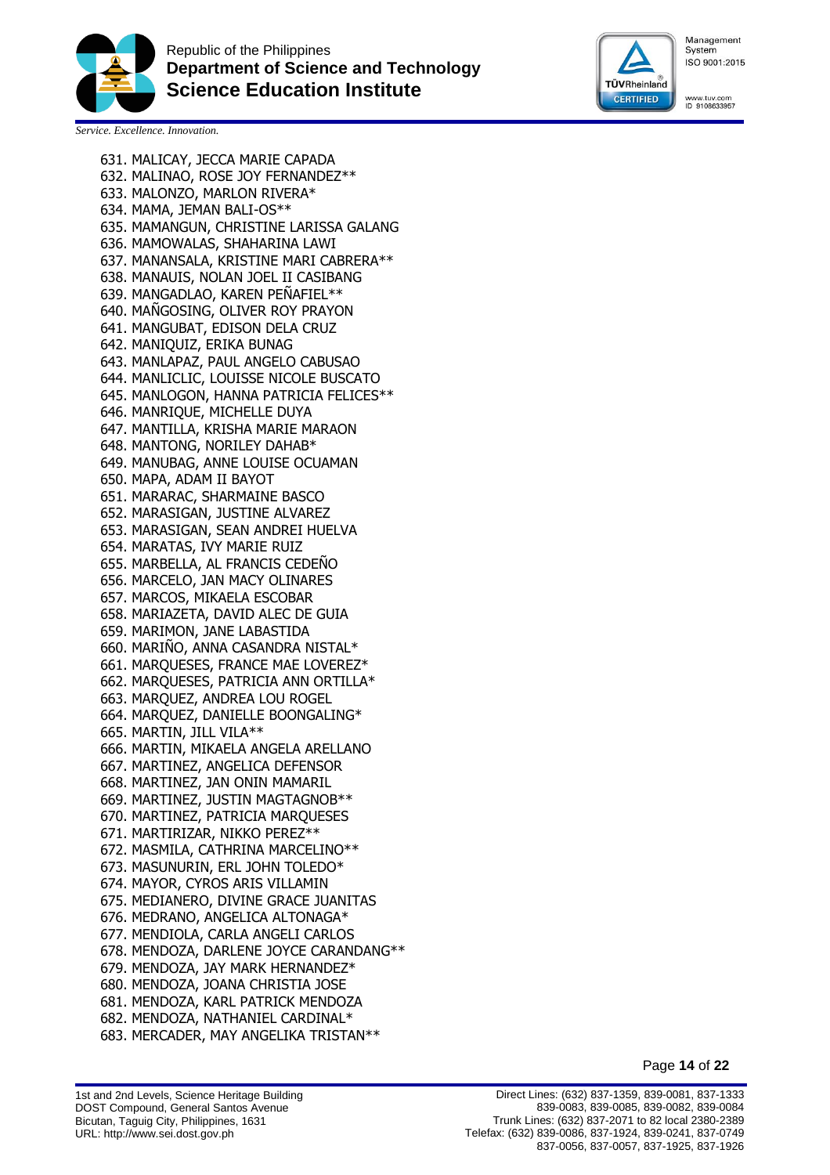



www.tuv.com<br>ID 9108633957

*Service. Excellence. Innovation.*

631. MALICAY, JECCA MARIE CAPADA 632. MALINAO, ROSE JOY FERNANDEZ\*\* 633. MALONZO, MARLON RIVERA\* 634. MAMA, JEMAN BALI-OS\*\* 635. MAMANGUN, CHRISTINE LARISSA GALANG 636. MAMOWALAS, SHAHARINA LAWI 637. MANANSALA, KRISTINE MARI CABRERA\*\* 638. MANAUIS, NOLAN JOEL II CASIBANG 639. MANGADLAO, KAREN PEÑAFIEL\*\* 640. MAÑGOSING, OLIVER ROY PRAYON 641. MANGUBAT, EDISON DELA CRUZ 642. MANIQUIZ, ERIKA BUNAG 643. MANLAPAZ, PAUL ANGELO CABUSAO 644. MANLICLIC, LOUISSE NICOLE BUSCATO 645. MANLOGON, HANNA PATRICIA FELICES\*\* 646. MANRIQUE, MICHELLE DUYA 647. MANTILLA, KRISHA MARIE MARAON 648. MANTONG, NORILEY DAHAB\* 649. MANUBAG, ANNE LOUISE OCUAMAN 650. MAPA, ADAM II BAYOT 651. MARARAC, SHARMAINE BASCO 652. MARASIGAN, JUSTINE ALVAREZ 653. MARASIGAN, SEAN ANDREI HUELVA 654. MARATAS, IVY MARIE RUIZ 655. MARBELLA, AL FRANCIS CEDENO 656. MARCELO, JAN MACY OLINARES 657. MARCOS, MIKAELA ESCOBAR 658. MARIAZETA, DAVID ALEC DE GUIA 659. MARIMON, JANE LABASTIDA 660. MARIÑO, ANNA CASANDRA NISTAL\* 661. MARQUESES, FRANCE MAE LOVEREZ\* 662. MARQUESES, PATRICIA ANN ORTILLA\* 663. MARQUEZ, ANDREA LOU ROGEL 664. MARQUEZ, DANIELLE BOONGALING\* 665. MARTIN, JILL VILA\*\* 666. MARTIN, MIKAELA ANGELA ARELLANO 667. MARTINEZ, ANGELICA DEFENSOR 668. MARTINEZ, JAN ONIN MAMARIL 669. MARTINEZ, JUSTIN MAGTAGNOB\*\* 670. MARTINEZ, PATRICIA MARQUESES 671. MARTIRIZAR, NIKKO PEREZ\*\* 672. MASMILA, CATHRINA MARCELINO\*\* 673. MASUNURIN, ERL JOHN TOLEDO\* 674. MAYOR, CYROS ARIS VILLAMIN 675. MEDIANERO, DIVINE GRACE JUANITAS 676. MEDRANO, ANGELICA ALTONAGA\* 677. MENDIOLA, CARLA ANGELI CARLOS 678. MENDOZA, DARLENE JOYCE CARANDANG\*\* 679. MENDOZA, JAY MARK HERNANDEZ\* 680. MENDOZA, JOANA CHRISTIA JOSE 681. MENDOZA, KARL PATRICK MENDOZA 682. MENDOZA, NATHANIEL CARDINAL\* 683. MERCADER, MAY ANGELIKA TRISTAN\*\*

Page **14** of **22**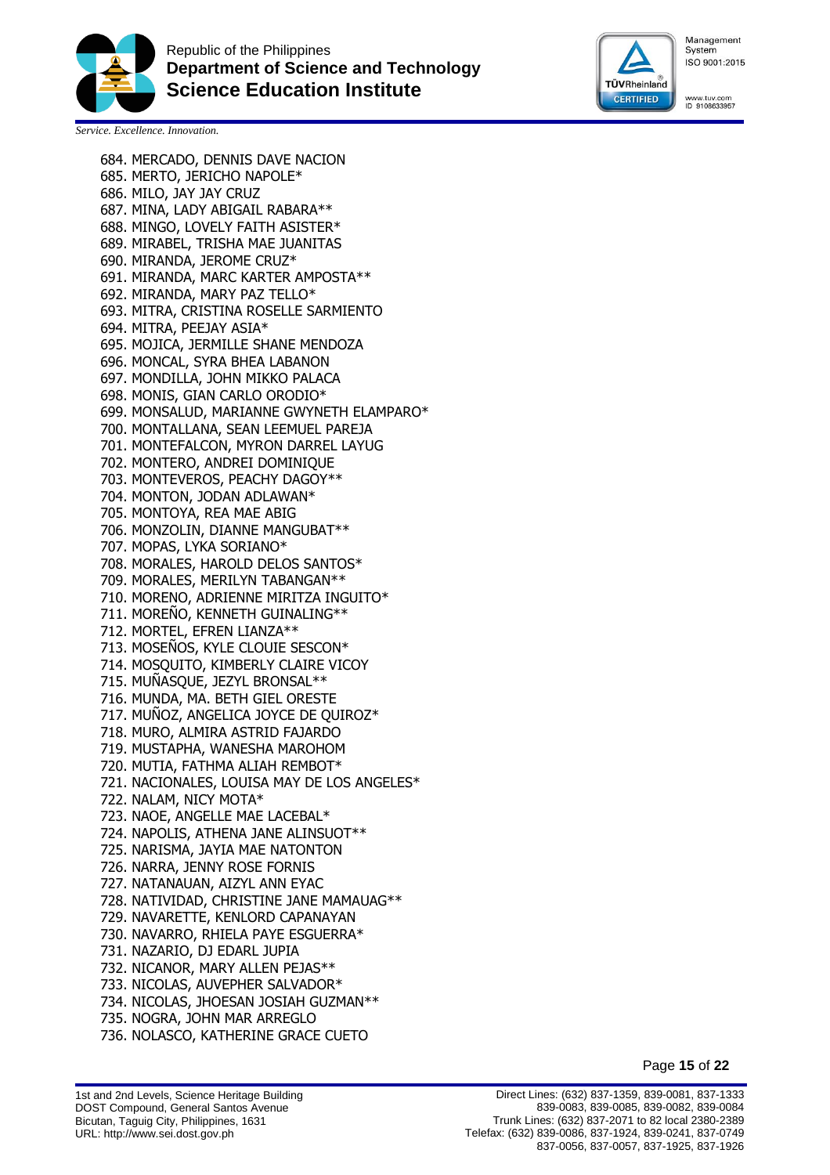



www.tuv.com<br>ID 9108633957

*Service. Excellence. Innovation.*

684. MERCADO, DENNIS DAVE NACION

685. MERTO, JERICHO NAPOLE\* 686. MILO, JAY JAY CRUZ 687. MINA, LADY ABIGAIL RABARA\*\* 688. MINGO, LOVELY FAITH ASISTER\* 689. MIRABEL, TRISHA MAE JUANITAS 690. MIRANDA, JEROME CRUZ\* 691. MIRANDA, MARC KARTER AMPOSTA\*\* 692. MIRANDA, MARY PAZ TELLO\* 693. MITRA, CRISTINA ROSELLE SARMIENTO 694. MITRA, PEEJAY ASIA\* 695. MOJICA, JERMILLE SHANE MENDOZA 696. MONCAL, SYRA BHEA LABANON 697. MONDILLA, JOHN MIKKO PALACA 698. MONIS, GIAN CARLO ORODIO\* 699. MONSALUD, MARIANNE GWYNETH ELAMPARO\* 700. MONTALLANA, SEAN LEEMUEL PAREJA 701. MONTEFALCON, MYRON DARREL LAYUG 702. MONTERO, ANDREI DOMINIQUE 703. MONTEVEROS, PEACHY DAGOY\*\* 704. MONTON, JODAN ADLAWAN\* 705. MONTOYA, REA MAE ABIG 706. MONZOLIN, DIANNE MANGUBAT\*\* 707. MOPAS, LYKA SORIANO\* 708. MORALES, HAROLD DELOS SANTOS\* 709. MORALES, MERILYN TABANGAN\*\* 710. MORENO, ADRIENNE MIRITZA INGUITO\* 711. MOREÑO, KENNETH GUINALING\*\* 712. MORTEL, EFREN LIANZA\*\* 713. MOSEÑOS, KYLE CLOUIE SESCON\* 714. MOSQUITO, KIMBERLY CLAIRE VICOY 715. MUÑASQUE, JEZYL BRONSAL\*\* 716. MUNDA, MA. BETH GIEL ORESTE 717. MUNOZ, ANGELICA JOYCE DE QUIROZ\* 718. MURO, ALMIRA ASTRID FAJARDO 719. MUSTAPHA, WANESHA MAROHOM 720. MUTIA, FATHMA ALIAH REMBOT\* 721. NACIONALES, LOUISA MAY DE LOS ANGELES\* 722. NALAM, NICY MOTA\* 723. NAOE, ANGELLE MAE LACEBAL\* 724. NAPOLIS, ATHENA JANE ALINSUOT\*\* 725. NARISMA, JAYIA MAE NATONTON 726. NARRA, JENNY ROSE FORNIS 727. NATANAUAN, AIZYL ANN EYAC 728. NATIVIDAD, CHRISTINE JANE MAMAUAG\*\* 729. NAVARETTE, KENLORD CAPANAYAN 730. NAVARRO, RHIELA PAYE ESGUERRA\* 731. NAZARIO, DJ EDARL JUPIA 732. NICANOR, MARY ALLEN PEJAS\*\* 733. NICOLAS, AUVEPHER SALVADOR\* 734. NICOLAS, JHOESAN JOSIAH GUZMAN\*\* 735. NOGRA, JOHN MAR ARREGLO 736. NOLASCO, KATHERINE GRACE CUETO

Page **15** of **22**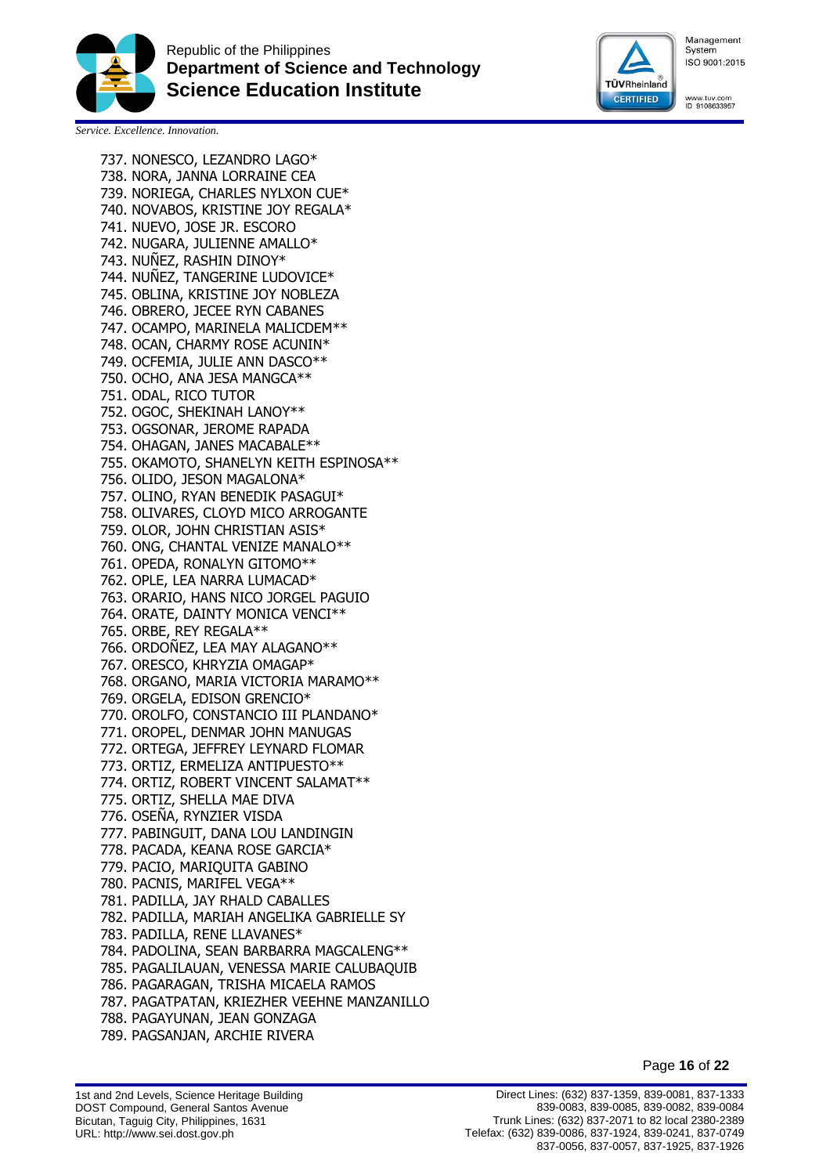



www.tuv.com<br>ID 9108633957

*Service. Excellence. Innovation.*

737. NONESCO, LEZANDRO LAGO\* 738. NORA, JANNA LORRAINE CEA 739. NORIEGA, CHARLES NYLXON CUE\* 740. NOVABOS, KRISTINE JOY REGALA\* 741. NUEVO, JOSE JR. ESCORO 742. NUGARA, JULIENNE AMALLO\* 743. NUÑEZ, RASHIN DINOY\* 744. NUÑEZ, TANGERINE LUDOVICE\* 745. OBLINA, KRISTINE JOY NOBLEZA 746. OBRERO, JECEE RYN CABANES 747. OCAMPO, MARINELA MALICDEM\*\* 748. OCAN, CHARMY ROSE ACUNIN\* 749. OCFEMIA, JULIE ANN DASCO\*\* 750. OCHO, ANA JESA MANGCA\*\* 751. ODAL, RICO TUTOR 752. OGOC, SHEKINAH LANOY\*\* 753. OGSONAR, JEROME RAPADA 754. OHAGAN, JANES MACABALE\*\* 755. OKAMOTO, SHANELYN KEITH ESPINOSA\*\* 756. OLIDO, JESON MAGALONA\* 757. OLINO, RYAN BENEDIK PASAGUI\* 758. OLIVARES, CLOYD MICO ARROGANTE 759. OLOR, JOHN CHRISTIAN ASIS\* 760. ONG, CHANTAL VENIZE MANALO\*\* 761. OPEDA, RONALYN GITOMO\*\* 762. OPLE, LEA NARRA LUMACAD\* 763. ORARIO, HANS NICO JORGEL PAGUIO 764. ORATE, DAINTY MONICA VENCI\*\* 765. ORBE, REY REGALA\*\* 766. ORDOÑEZ, LEA MAY ALAGANO\*\* 767. ORESCO, KHRYZIA OMAGAP\* 768. ORGANO, MARIA VICTORIA MARAMO\*\* 769. ORGELA, EDISON GRENCIO\* 770. OROLFO, CONSTANCIO III PLANDANO\* 771. OROPEL, DENMAR JOHN MANUGAS 772. ORTEGA, JEFFREY LEYNARD FLOMAR 773. ORTIZ, ERMELIZA ANTIPUESTO\*\* 774. ORTIZ, ROBERT VINCENT SALAMAT\*\* 775. ORTIZ, SHELLA MAE DIVA 776. OSEÑA, RYNZIER VISDA 777. PABINGUIT, DANA LOU LANDINGIN 778. PACADA, KEANA ROSE GARCIA\* 779. PACIO, MARIQUITA GABINO 780. PACNIS, MARIFEL VEGA\*\* 781. PADILLA, JAY RHALD CABALLES 782. PADILLA, MARIAH ANGELIKA GABRIELLE SY 783. PADILLA, RENE LLAVANES\* 784. PADOLINA, SEAN BARBARRA MAGCALENG\*\* 785. PAGALILAUAN, VENESSA MARIE CALUBAQUIB 786. PAGARAGAN, TRISHA MICAELA RAMOS 787. PAGATPATAN, KRIEZHER VEEHNE MANZANILLO 788. PAGAYUNAN, JEAN GONZAGA 789. PAGSANJAN, ARCHIE RIVERA

Page **16** of **22**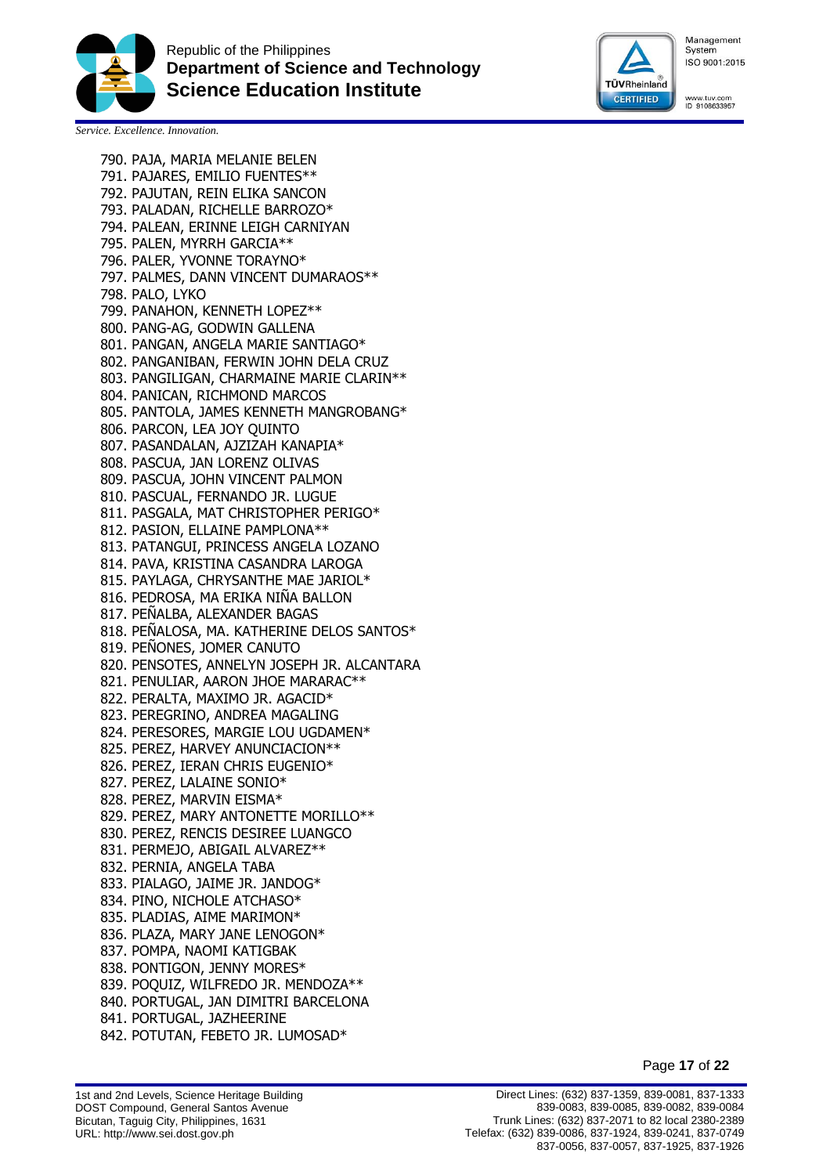



www.tuv.com<br>ID 9108633957

*Service. Excellence. Innovation.*

790. PAJA, MARIA MELANIE BELEN

791. PAJARES, EMILIO FUENTES\*\* 792. PAJUTAN, REIN ELIKA SANCON 793. PALADAN, RICHELLE BARROZO\* 794. PALEAN, ERINNE LEIGH CARNIYAN 795. PALEN, MYRRH GARCIA\*\* 796. PALER, YVONNE TORAYNO\* 797. PALMES, DANN VINCENT DUMARAOS\*\* 798. PALO, LYKO 799. PANAHON, KENNETH LOPEZ\*\* 800. PANG-AG, GODWIN GALLENA 801. PANGAN, ANGELA MARIE SANTIAGO\* 802. PANGANIBAN, FERWIN JOHN DELA CRUZ 803. PANGILIGAN, CHARMAINE MARIE CLARIN\*\* 804. PANICAN, RICHMOND MARCOS 805. PANTOLA, JAMES KENNETH MANGROBANG\* 806. PARCON, LEA JOY QUINTO 807. PASANDALAN, AJZIZAH KANAPIA\* 808. PASCUA, JAN LORENZ OLIVAS 809. PASCUA, JOHN VINCENT PALMON 810. PASCUAL, FERNANDO JR. LUGUE 811. PASGALA, MAT CHRISTOPHER PERIGO\* 812. PASION, ELLAINE PAMPLONA\*\* 813. PATANGUI, PRINCESS ANGELA LOZANO 814. PAVA, KRISTINA CASANDRA LAROGA 815. PAYLAGA, CHRYSANTHE MAE JARIOL\* 816. PEDROSA, MA ERIKA NINA BALLON 817. PEÑALBA, ALEXANDER BAGAS 818. PEÑALOSA, MA. KATHERINE DELOS SANTOS\* 819. PEÑONES, JOMER CANUTO 820. PENSOTES, ANNELYN JOSEPH JR. ALCANTARA 821. PENULIAR, AARON JHOE MARARAC\*\* 822. PERALTA, MAXIMO JR. AGACID\* 823. PEREGRINO, ANDREA MAGALING 824. PERESORES, MARGIE LOU UGDAMEN\* 825. PEREZ, HARVEY ANUNCIACION\*\* 826. PEREZ, IERAN CHRIS EUGENIO\* 827. PEREZ, LALAINE SONIO\* 828. PEREZ, MARVIN EISMA\* 829. PEREZ, MARY ANTONETTE MORILLO\*\* 830. PEREZ, RENCIS DESIREE LUANGCO 831. PERMEJO, ABIGAIL ALVAREZ\*\* 832. PERNIA, ANGELA TABA 833. PIALAGO, JAIME JR. JANDOG\* 834. PINO, NICHOLE ATCHASO\* 835. PLADIAS, AIME MARIMON\* 836. PLAZA, MARY JANE LENOGON\* 837. POMPA, NAOMI KATIGBAK 838. PONTIGON, JENNY MORES\* 839. POQUIZ, WILFREDO JR. MENDOZA\*\* 840. PORTUGAL, JAN DIMITRI BARCELONA 841. PORTUGAL, JAZHEERINE 842. POTUTAN, FEBETO JR. LUMOSAD\*

Page **17** of **22**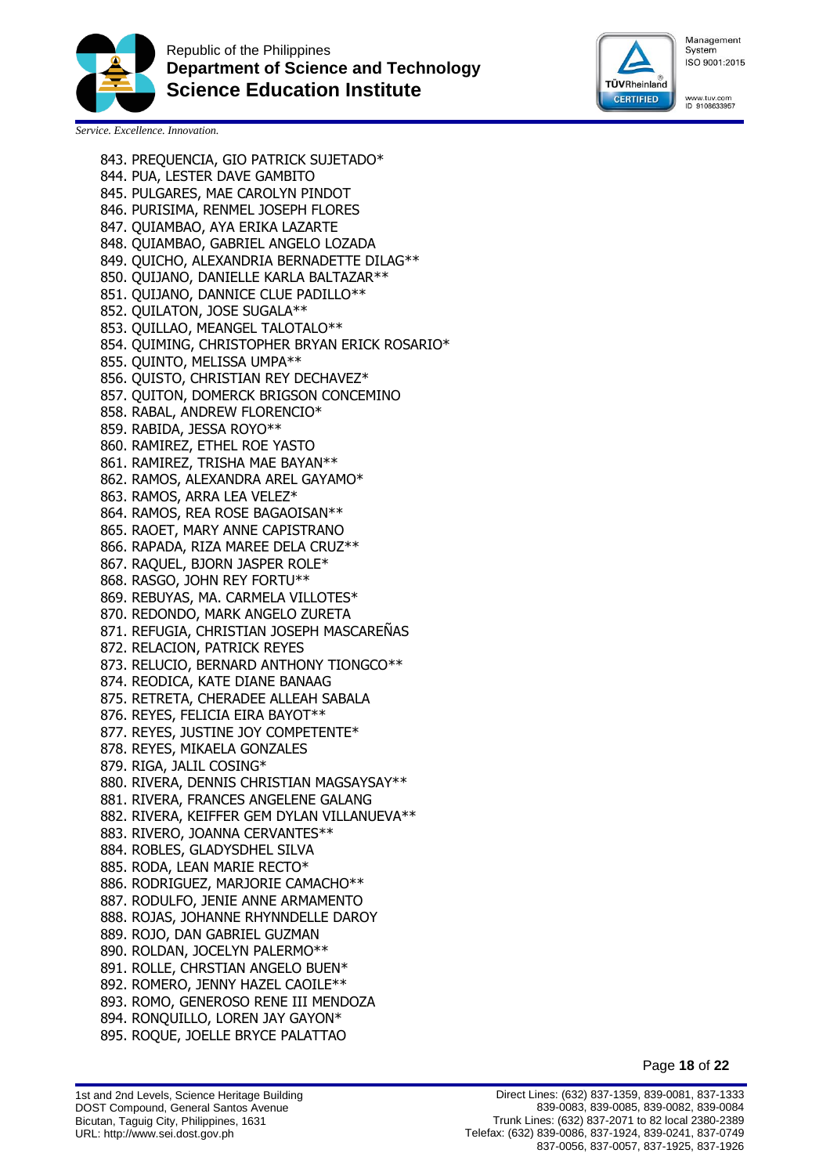



www.tuv.com<br>ID 9108633957

*Service. Excellence. Innovation.*

843. PREQUENCIA, GIO PATRICK SUJETADO\*

844. PUA, LESTER DAVE GAMBITO 845. PULGARES, MAE CAROLYN PINDOT 846. PURISIMA, RENMEL JOSEPH FLORES 847. QUIAMBAO, AYA ERIKA LAZARTE 848. QUIAMBAO, GABRIEL ANGELO LOZADA 849. QUICHO, ALEXANDRIA BERNADETTE DILAG\*\* 850. QUIJANO, DANIELLE KARLA BALTAZAR\*\* 851. QUIJANO, DANNICE CLUE PADILLO\*\* 852. QUILATON, JOSE SUGALA\*\* 853. QUILLAO, MEANGEL TALOTALO\*\* 854. QUIMING, CHRISTOPHER BRYAN ERICK ROSARIO\* 855. QUINTO, MELISSA UMPA\*\* 856. QUISTO, CHRISTIAN REY DECHAVEZ\* 857. QUITON, DOMERCK BRIGSON CONCEMINO 858. RABAL, ANDREW FLORENCIO\* 859. RABIDA, JESSA ROYO\*\* 860. RAMIREZ, ETHEL ROE YASTO 861. RAMIREZ, TRISHA MAE BAYAN\*\* 862. RAMOS, ALEXANDRA AREL GAYAMO\* 863. RAMOS, ARRA LEA VELEZ\* 864. RAMOS, REA ROSE BAGAOISAN\*\* 865. RAOET, MARY ANNE CAPISTRANO 866. RAPADA, RIZA MAREE DELA CRUZ\*\* 867. RAQUEL, BJORN JASPER ROLE\* 868. RASGO, JOHN REY FORTU\*\* 869. REBUYAS, MA. CARMELA VILLOTES\* 870. REDONDO, MARK ANGELO ZURETA 871. REFUGIA, CHRISTIAN JOSEPH MASCAREÑAS 872. RELACION, PATRICK REYES 873. RELUCIO, BERNARD ANTHONY TIONGCO\*\* 874. REODICA, KATE DIANE BANAAG 875. RETRETA, CHERADEE ALLEAH SABALA 876. REYES, FELICIA EIRA BAYOT\*\* 877. REYES, JUSTINE JOY COMPETENTE\* 878. REYES, MIKAELA GONZALES 879. RIGA, JALIL COSING\* 880. RIVERA, DENNIS CHRISTIAN MAGSAYSAY\*\* 881. RIVERA, FRANCES ANGELENE GALANG 882. RIVERA, KEIFFER GEM DYLAN VILLANUEVA\*\* 883. RIVERO, JOANNA CERVANTES\*\* 884. ROBLES, GLADYSDHEL SILVA 885. RODA, LEAN MARIE RECTO\* 886. RODRIGUEZ, MARJORIE CAMACHO\*\* 887. RODULFO, JENIE ANNE ARMAMENTO 888. ROJAS, JOHANNE RHYNNDELLE DAROY 889. ROJO, DAN GABRIEL GUZMAN 890. ROLDAN, JOCELYN PALERMO\*\* 891. ROLLE, CHRSTIAN ANGELO BUEN\* 892. ROMERO, JENNY HAZEL CAOILE\*\* 893. ROMO, GENEROSO RENE III MENDOZA 894. RONQUILLO, LOREN JAY GAYON\* 895. ROQUE, JOELLE BRYCE PALATTAO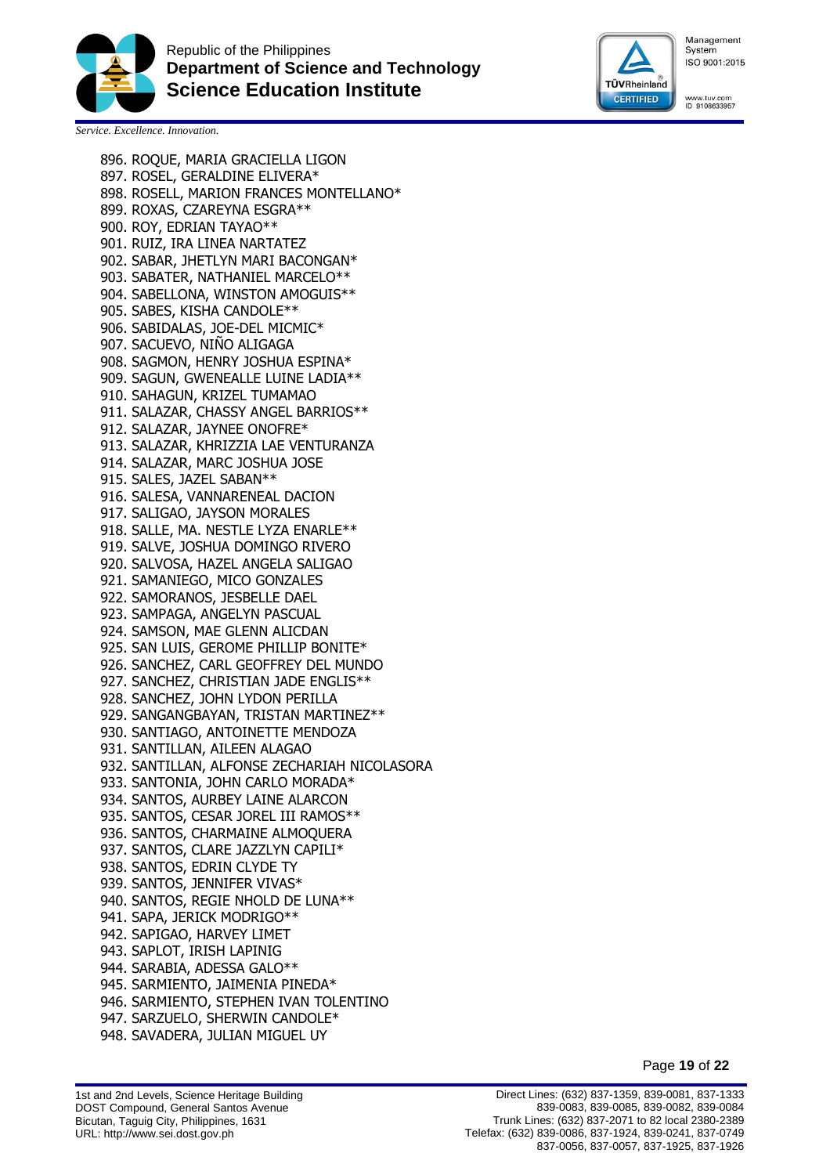



www.tuv.com<br>ID 9108633957

*Service. Excellence. Innovation.*

896. ROQUE, MARIA GRACIELLA LIGON 897. ROSEL, GERALDINE ELIVERA\* 898. ROSELL, MARION FRANCES MONTELLANO\* 899. ROXAS, CZAREYNA ESGRA\*\* 900. ROY, EDRIAN TAYAO\*\* 901. RUIZ, IRA LINEA NARTATEZ 902. SABAR, JHETLYN MARI BACONGAN\* 903. SABATER, NATHANIEL MARCELO\*\* 904. SABELLONA, WINSTON AMOGUIS\*\* 905. SABES, KISHA CANDOLE\*\* 906. SABIDALAS, JOE-DEL MICMIC\* 907. SACUEVO, NIÑO ALIGAGA 908. SAGMON, HENRY JOSHUA ESPINA\* 909. SAGUN, GWENEALLE LUINE LADIA\*\* 910. SAHAGUN, KRIZEL TUMAMAO 911. SALAZAR, CHASSY ANGEL BARRIOS\*\* 912. SALAZAR, JAYNEE ONOFRE\* 913. SALAZAR, KHRIZZIA LAE VENTURANZA 914. SALAZAR, MARC JOSHUA JOSE 915. SALES, JAZEL SABAN\*\* 916. SALESA, VANNARENEAL DACION 917. SALIGAO, JAYSON MORALES 918. SALLE, MA. NESTLE LYZA ENARLE\*\* 919. SALVE, JOSHUA DOMINGO RIVERO 920. SALVOSA, HAZEL ANGELA SALIGAO 921. SAMANIEGO, MICO GONZALES 922. SAMORANOS, JESBELLE DAEL 923. SAMPAGA, ANGELYN PASCUAL 924. SAMSON, MAE GLENN ALICDAN 925. SAN LUIS, GEROME PHILLIP BONITE\* 926. SANCHEZ, CARL GEOFFREY DEL MUNDO 927. SANCHEZ, CHRISTIAN JADE ENGLIS\*\* 928. SANCHEZ, JOHN LYDON PERILLA 929. SANGANGBAYAN, TRISTAN MARTINEZ\*\* 930. SANTIAGO, ANTOINETTE MENDOZA 931. SANTILLAN, AILEEN ALAGAO 932. SANTILLAN, ALFONSE ZECHARIAH NICOLASORA 933. SANTONIA, JOHN CARLO MORADA\* 934. SANTOS, AURBEY LAINE ALARCON 935. SANTOS, CESAR JOREL III RAMOS\*\* 936. SANTOS, CHARMAINE ALMOQUERA 937. SANTOS, CLARE JAZZLYN CAPILI\* 938. SANTOS, EDRIN CLYDE TY 939. SANTOS, JENNIFER VIVAS\* 940. SANTOS, REGIE NHOLD DE LUNA\*\* 941. SAPA, JERICK MODRIGO\*\* 942. SAPIGAO, HARVEY LIMET 943. SAPLOT, IRISH LAPINIG 944. SARABIA, ADESSA GALO\*\* 945. SARMIENTO, JAIMENIA PINEDA\* 946. SARMIENTO, STEPHEN IVAN TOLENTINO 947. SARZUELO, SHERWIN CANDOLE\* 948. SAVADERA, JULIAN MIGUEL UY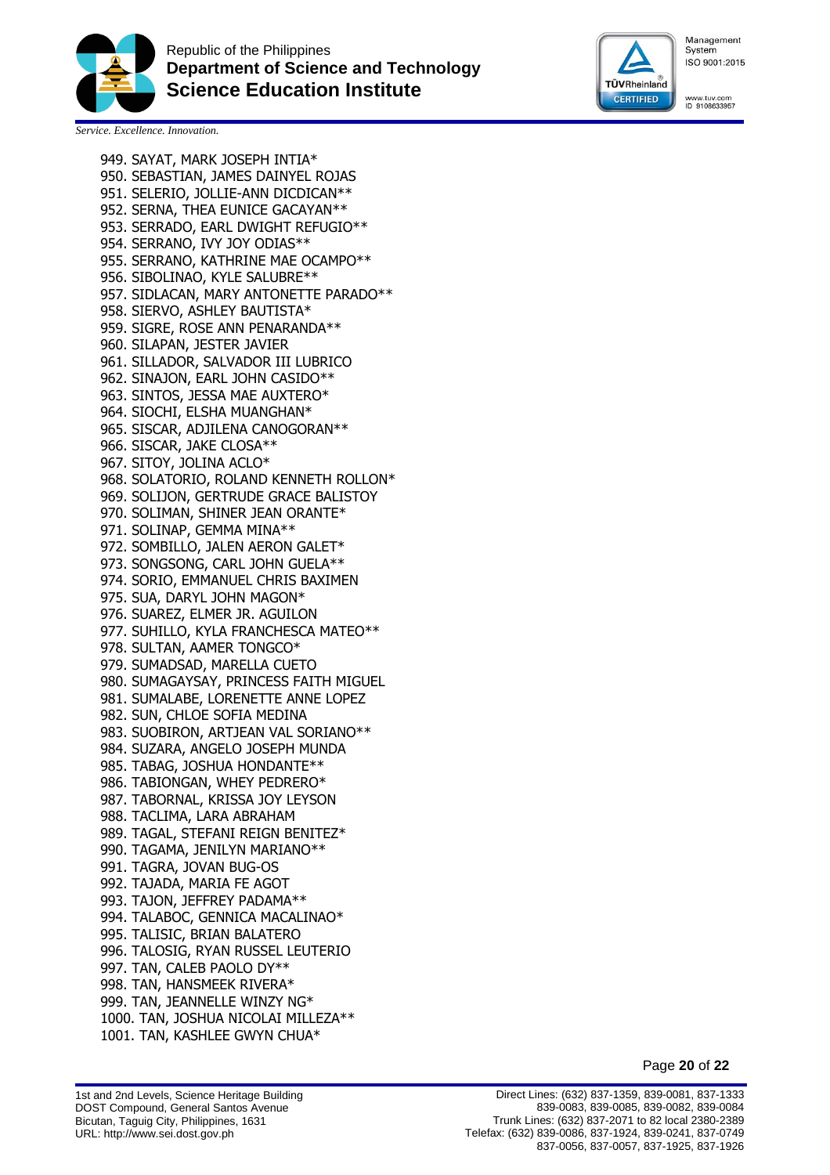



www.tuv.com<br>ID 9108633957

*Service. Excellence. Innovation.*

949. SAYAT, MARK JOSEPH INTIA\* 950. SEBASTIAN, JAMES DAINYEL ROJAS 951. SELERIO, JOLLIE-ANN DICDICAN\*\* 952. SERNA, THEA EUNICE GACAYAN\*\* 953. SERRADO, EARL DWIGHT REFUGIO\*\* 954. SERRANO, IVY JOY ODIAS\*\* 955. SERRANO, KATHRINE MAE OCAMPO\*\* 956. SIBOLINAO, KYLE SALUBRE\*\* 957. SIDLACAN, MARY ANTONETTE PARADO\*\* 958. SIERVO, ASHLEY BAUTISTA\* 959. SIGRE, ROSE ANN PENARANDA\*\* 960. SILAPAN, JESTER JAVIER 961. SILLADOR, SALVADOR III LUBRICO 962. SINAJON, EARL JOHN CASIDO\*\* 963. SINTOS, JESSA MAE AUXTERO\* 964. SIOCHI, ELSHA MUANGHAN\* 965. SISCAR, ADJILENA CANOGORAN\*\* 966. SISCAR, JAKE CLOSA\*\* 967. SITOY, JOLINA ACLO\* 968. SOLATORIO, ROLAND KENNETH ROLLON\* 969. SOLIJON, GERTRUDE GRACE BALISTOY 970. SOLIMAN, SHINER JEAN ORANTE\* 971. SOLINAP, GEMMA MINA\*\* 972. SOMBILLO, JALEN AERON GALET\* 973. SONGSONG, CARL JOHN GUELA\*\* 974. SORIO, EMMANUEL CHRIS BAXIMEN 975. SUA, DARYL JOHN MAGON\* 976. SUAREZ, ELMER JR. AGUILON 977. SUHILLO, KYLA FRANCHESCA MATEO\*\* 978. SULTAN, AAMER TONGCO\* 979. SUMADSAD, MARELLA CUETO 980. SUMAGAYSAY, PRINCESS FAITH MIGUEL 981. SUMALABE, LORENETTE ANNE LOPEZ 982. SUN, CHLOE SOFIA MEDINA 983. SUOBIRON, ARTJEAN VAL SORIANO\*\* 984. SUZARA, ANGELO JOSEPH MUNDA 985. TABAG, JOSHUA HONDANTE\*\* 986. TABIONGAN, WHEY PEDRERO\* 987. TABORNAL, KRISSA JOY LEYSON 988. TACLIMA, LARA ABRAHAM 989. TAGAL, STEFANI REIGN BENITEZ\* 990. TAGAMA, JENILYN MARIANO\*\* 991. TAGRA, JOVAN BUG-OS 992. TAJADA, MARIA FE AGOT 993. TAJON, JEFFREY PADAMA\*\* 994. TALABOC, GENNICA MACALINAO\* 995. TALISIC, BRIAN BALATERO 996. TALOSIG, RYAN RUSSEL LEUTERIO 997. TAN, CALEB PAOLO DY\*\* 998. TAN, HANSMEEK RIVERA\* 999. TAN, JEANNELLE WINZY NG\* 1000. TAN, JOSHUA NICOLAI MILLEZA\*\* 1001. TAN, KASHLEE GWYN CHUA\*

Page **20** of **22**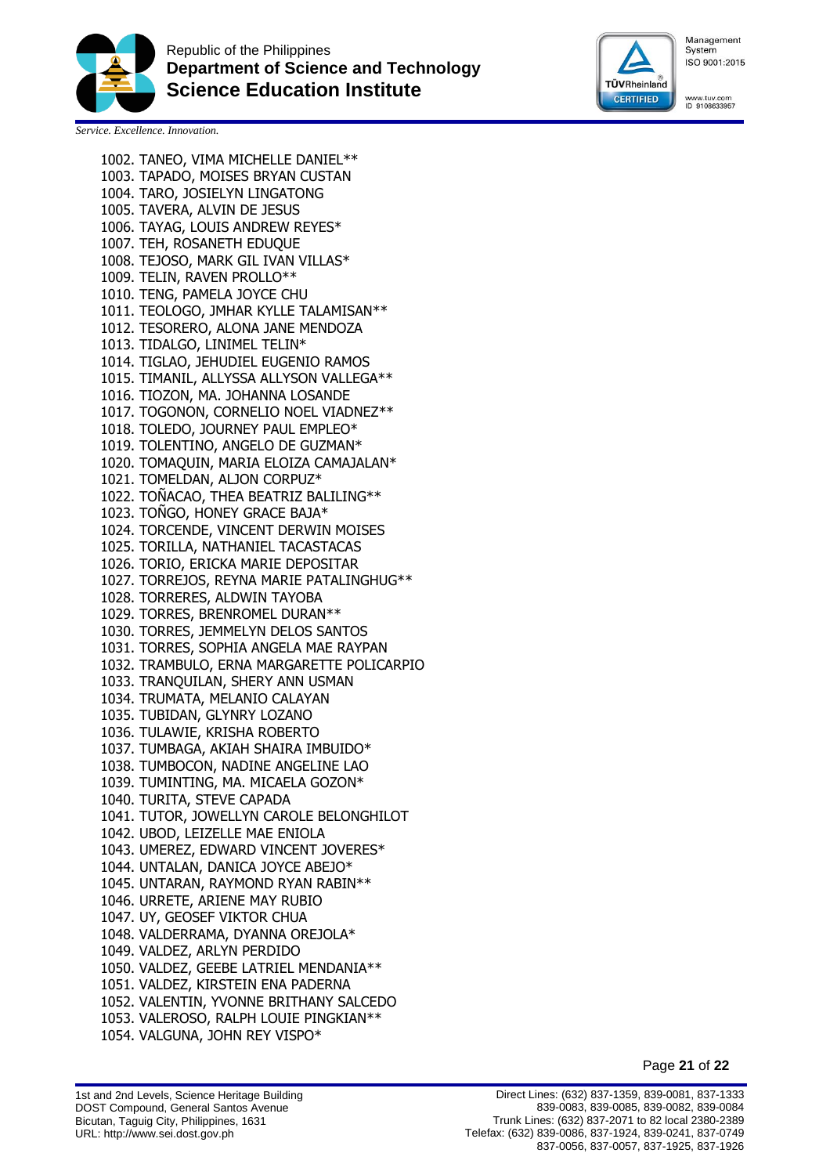



www.tuv.com<br>ID 9108633957

*Service. Excellence. Innovation.*

1002. TANEO, VIMA MICHELLE DANIEL\*\* 1003. TAPADO, MOISES BRYAN CUSTAN 1004. TARO, JOSIELYN LINGATONG 1005. TAVERA, ALVIN DE JESUS 1006. TAYAG, LOUIS ANDREW REYES\* 1007. TEH, ROSANETH EDUQUE 1008. TEJOSO, MARK GIL IVAN VILLAS\* 1009. TELIN, RAVEN PROLLO\*\* 1010. TENG, PAMELA JOYCE CHU 1011. TEOLOGO, JMHAR KYLLE TALAMISAN\*\* 1012. TESORERO, ALONA JANE MENDOZA 1013. TIDALGO, LINIMEL TELIN\* 1014. TIGLAO, JEHUDIEL EUGENIO RAMOS 1015. TIMANIL, ALLYSSA ALLYSON VALLEGA\*\* 1016. TIOZON, MA. JOHANNA LOSANDE 1017. TOGONON, CORNELIO NOEL VIADNEZ\*\* 1018. TOLEDO, JOURNEY PAUL EMPLEO\* 1019. TOLENTINO, ANGELO DE GUZMAN\* 1020. TOMAQUIN, MARIA ELOIZA CAMAJALAN\* 1021. TOMELDAN, ALJON CORPUZ\* 1022. TOÑACAO, THEA BEATRIZ BALILING\*\* 1023. TOÑGO, HONEY GRACE BAJA\* 1024. TORCENDE, VINCENT DERWIN MOISES 1025. TORILLA, NATHANIEL TACASTACAS 1026. TORIO, ERICKA MARIE DEPOSITAR 1027. TORREJOS, REYNA MARIE PATALINGHUG\*\* 1028. TORRERES, ALDWIN TAYOBA 1029. TORRES, BRENROMEL DURAN\*\* 1030. TORRES, JEMMELYN DELOS SANTOS 1031. TORRES, SOPHIA ANGELA MAE RAYPAN 1032. TRAMBULO, ERNA MARGARETTE POLICARPIO 1033. TRANQUILAN, SHERY ANN USMAN 1034. TRUMATA, MELANIO CALAYAN 1035. TUBIDAN, GLYNRY LOZANO 1036. TULAWIE, KRISHA ROBERTO 1037. TUMBAGA, AKIAH SHAIRA IMBUIDO\* 1038. TUMBOCON, NADINE ANGELINE LAO 1039. TUMINTING, MA. MICAELA GOZON\* 1040. TURITA, STEVE CAPADA 1041. TUTOR, JOWELLYN CAROLE BELONGHILOT 1042. UBOD, LEIZELLE MAE ENIOLA 1043. UMEREZ, EDWARD VINCENT JOVERES\* 1044. UNTALAN, DANICA JOYCE ABEJO\* 1045. UNTARAN, RAYMOND RYAN RABIN\*\* 1046. URRETE, ARIENE MAY RUBIO 1047. UY, GEOSEF VIKTOR CHUA 1048. VALDERRAMA, DYANNA OREJOLA\* 1049. VALDEZ, ARLYN PERDIDO 1050. VALDEZ, GEEBE LATRIEL MENDANIA\*\* 1051. VALDEZ, KIRSTEIN ENA PADERNA 1052. VALENTIN, YVONNE BRITHANY SALCEDO 1053. VALEROSO, RALPH LOUIE PINGKIAN\*\* 1054. VALGUNA, JOHN REY VISPO\*

Page **21** of **22**